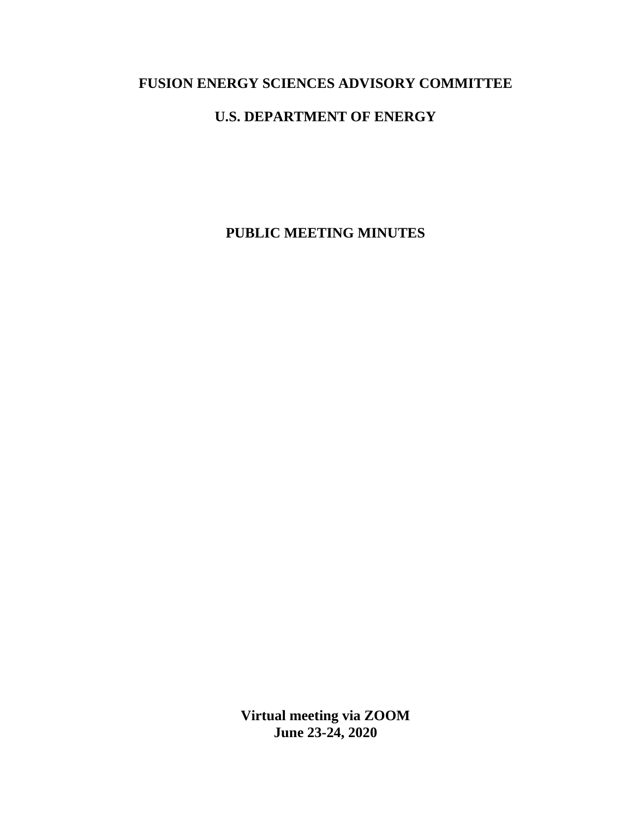# **FUSION ENERGY SCIENCES ADVISORY COMMITTEE**

# **U.S. DEPARTMENT OF ENERGY**

**PUBLIC MEETING MINUTES**

**Virtual meeting via ZOOM June 23-24, 2020**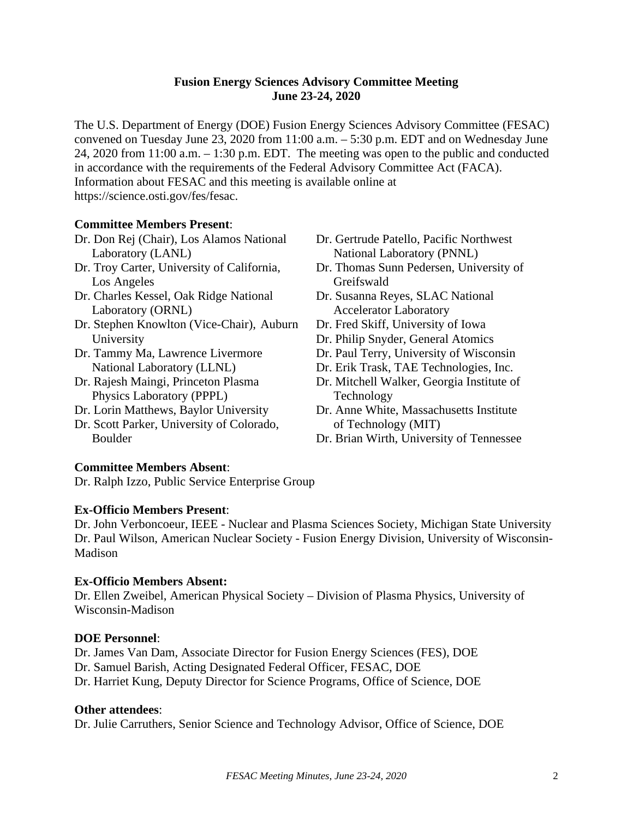# **Fusion Energy Sciences Advisory Committee Meeting June 23-24, 2020**

The U.S. Department of Energy (DOE) Fusion Energy Sciences Advisory Committee (FESAC) convened on Tuesday June 23, 2020 from 11:00 a.m. – 5:30 p.m. EDT and on Wednesday June 24, 2020 from 11:00 a.m. – 1:30 p.m. EDT. The meeting was open to the public and conducted in accordance with the requirements of the Federal Advisory Committee Act (FACA). Information about FESAC and this meeting is available online at https://science.osti.gov/fes/fesac.

# **Committee Members Present**:

- Dr. Don Rej (Chair), Los Alamos National Laboratory (LANL)
- Dr. Troy Carter, University of California, Los Angeles
- Dr. Charles Kessel, Oak Ridge National Laboratory (ORNL)
- Dr. Stephen Knowlton (Vice-Chair), Auburn University
- Dr. Tammy Ma, Lawrence Livermore National Laboratory (LLNL)
- Dr. Rajesh Maingi, Princeton Plasma Physics Laboratory (PPPL)
- Dr. Lorin Matthews, Baylor University
- Dr. Scott Parker, University of Colorado, Boulder
- Dr. Gertrude Patello, Pacific Northwest National Laboratory (PNNL)
- Dr. Thomas Sunn Pedersen, University of Greifswald
- Dr. Susanna Reyes, SLAC National Accelerator Laboratory
- Dr. Fred Skiff, University of Iowa
- Dr. Philip Snyder, General Atomics
- Dr. Paul Terry, University of Wisconsin
- Dr. Erik Trask, TAE Technologies, Inc.
- Dr. Mitchell Walker, Georgia Institute of Technology
- Dr. Anne White, Massachusetts Institute of Technology (MIT)
- Dr. Brian Wirth, University of Tennessee

## **Committee Members Absent**:

Dr. Ralph Izzo, Public Service Enterprise Group

## **Ex-Officio Members Present**:

Dr. John Verboncoeur, IEEE - Nuclear and Plasma Sciences Society, Michigan State University Dr. Paul Wilson, American Nuclear Society - Fusion Energy Division, University of Wisconsin-Madison

## **Ex-Officio Members Absent:**

Dr. Ellen Zweibel, American Physical Society – Division of Plasma Physics, University of Wisconsin-Madison

## **DOE Personnel**:

Dr. James Van Dam, Associate Director for Fusion Energy Sciences (FES), DOE Dr. Samuel Barish, Acting Designated Federal Officer, FESAC, DOE Dr. Harriet Kung, Deputy Director for Science Programs, Office of Science, DOE

## **Other attendees**:

Dr. Julie Carruthers, Senior Science and Technology Advisor, Office of Science, DOE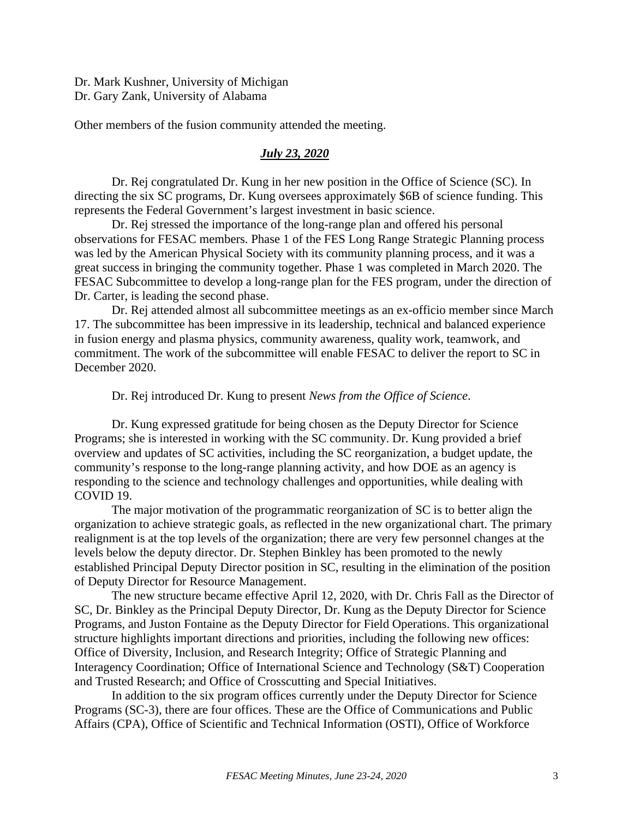Dr. Mark Kushner, University of Michigan Dr. Gary Zank, University of Alabama

Other members of the fusion community attended the meeting.

# *July 23, 2020*

Dr. Rej congratulated Dr. Kung in her new position in the Office of Science (SC). In directing the six SC programs, Dr. Kung oversees approximately \$6B of science funding. This represents the Federal Government's largest investment in basic science.

Dr. Rej stressed the importance of the long-range plan and offered his personal observations for FESAC members. Phase 1 of the FES Long Range Strategic Planning process was led by the American Physical Society with its community planning process, and it was a great success in bringing the community together. Phase 1 was completed in March 2020. The FESAC Subcommittee to develop a long-range plan for the FES program, under the direction of Dr. Carter, is leading the second phase.

Dr. Rej attended almost all subcommittee meetings as an ex-officio member since March 17. The subcommittee has been impressive in its leadership, technical and balanced experience in fusion energy and plasma physics, community awareness, quality work, teamwork, and commitment. The work of the subcommittee will enable FESAC to deliver the report to SC in December 2020.

Dr. Rej introduced Dr. Kung to present *News from the Office of Science*.

Dr. Kung expressed gratitude for being chosen as the Deputy Director for Science Programs; she is interested in working with the SC community. Dr. Kung provided a brief overview and updates of SC activities, including the SC reorganization, a budget update, the community's response to the long-range planning activity, and how DOE as an agency is responding to the science and technology challenges and opportunities, while dealing with COVID 19.

The major motivation of the programmatic reorganization of SC is to better align the organization to achieve strategic goals, as reflected in the new organizational chart. The primary realignment is at the top levels of the organization; there are very few personnel changes at the levels below the deputy director. Dr. Stephen Binkley has been promoted to the newly established Principal Deputy Director position in SC, resulting in the elimination of the position of Deputy Director for Resource Management.

The new structure became effective April 12, 2020, with Dr. Chris Fall as the Director of SC, Dr. Binkley as the Principal Deputy Director, Dr. Kung as the Deputy Director for Science Programs, and Juston Fontaine as the Deputy Director for Field Operations. This organizational structure highlights important directions and priorities, including the following new offices: Office of Diversity, Inclusion, and Research Integrity; Office of Strategic Planning and Interagency Coordination; Office of International Science and Technology (S&T) Cooperation and Trusted Research; and Office of Crosscutting and Special Initiatives.

In addition to the six program offices currently under the Deputy Director for Science Programs (SC-3), there are four offices. These are the Office of Communications and Public Affairs (CPA), Office of Scientific and Technical Information (OSTI), Office of Workforce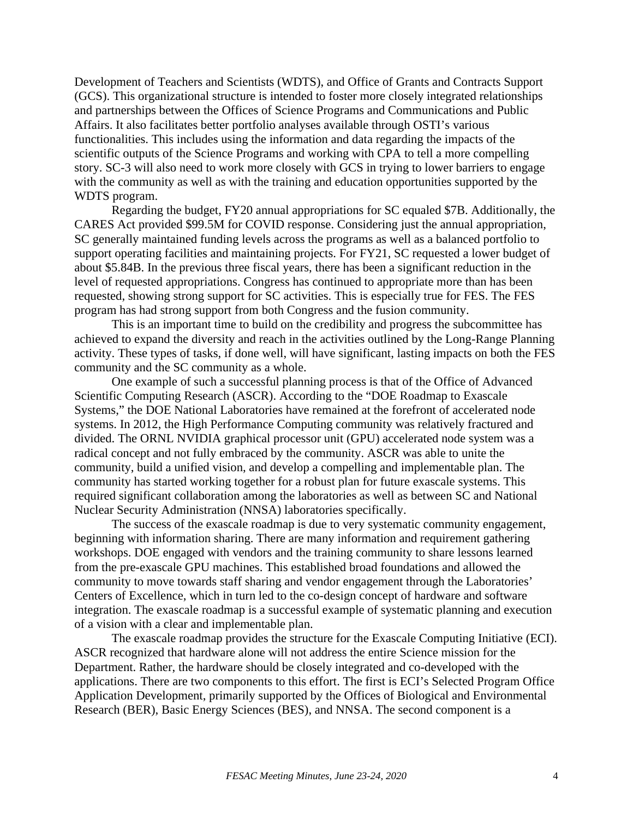Development of Teachers and Scientists (WDTS), and Office of Grants and Contracts Support (GCS). This organizational structure is intended to foster more closely integrated relationships and partnerships between the Offices of Science Programs and Communications and Public Affairs. It also facilitates better portfolio analyses available through OSTI's various functionalities. This includes using the information and data regarding the impacts of the scientific outputs of the Science Programs and working with CPA to tell a more compelling story. SC-3 will also need to work more closely with GCS in trying to lower barriers to engage with the community as well as with the training and education opportunities supported by the WDTS program.

Regarding the budget, FY20 annual appropriations for SC equaled \$7B. Additionally, the CARES Act provided \$99.5M for COVID response. Considering just the annual appropriation, SC generally maintained funding levels across the programs as well as a balanced portfolio to support operating facilities and maintaining projects. For FY21, SC requested a lower budget of about \$5.84B. In the previous three fiscal years, there has been a significant reduction in the level of requested appropriations. Congress has continued to appropriate more than has been requested, showing strong support for SC activities. This is especially true for FES. The FES program has had strong support from both Congress and the fusion community.

This is an important time to build on the credibility and progress the subcommittee has achieved to expand the diversity and reach in the activities outlined by the Long-Range Planning activity. These types of tasks, if done well, will have significant, lasting impacts on both the FES community and the SC community as a whole.

One example of such a successful planning process is that of the Office of Advanced Scientific Computing Research (ASCR). According to the "DOE Roadmap to Exascale Systems," the DOE National Laboratories have remained at the forefront of accelerated node systems. In 2012, the High Performance Computing community was relatively fractured and divided. The ORNL NVIDIA graphical processor unit (GPU) accelerated node system was a radical concept and not fully embraced by the community. ASCR was able to unite the community, build a unified vision, and develop a compelling and implementable plan. The community has started working together for a robust plan for future exascale systems. This required significant collaboration among the laboratories as well as between SC and National Nuclear Security Administration (NNSA) laboratories specifically.

The success of the exascale roadmap is due to very systematic community engagement, beginning with information sharing. There are many information and requirement gathering workshops. DOE engaged with vendors and the training community to share lessons learned from the pre-exascale GPU machines. This established broad foundations and allowed the community to move towards staff sharing and vendor engagement through the Laboratories' Centers of Excellence, which in turn led to the co-design concept of hardware and software integration. The exascale roadmap is a successful example of systematic planning and execution of a vision with a clear and implementable plan.

The exascale roadmap provides the structure for the Exascale Computing Initiative (ECI). ASCR recognized that hardware alone will not address the entire Science mission for the Department. Rather, the hardware should be closely integrated and co-developed with the applications. There are two components to this effort. The first is ECI's Selected Program Office Application Development, primarily supported by the Offices of Biological and Environmental Research (BER), Basic Energy Sciences (BES), and NNSA. The second component is a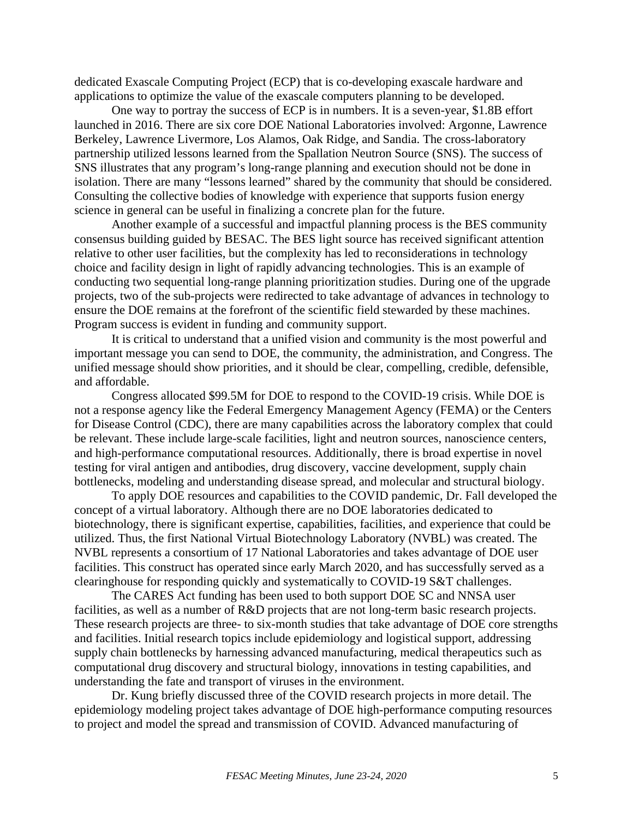dedicated Exascale Computing Project (ECP) that is co-developing exascale hardware and applications to optimize the value of the exascale computers planning to be developed.

One way to portray the success of ECP is in numbers. It is a seven-year, \$1.8B effort launched in 2016. There are six core DOE National Laboratories involved: Argonne, Lawrence Berkeley, Lawrence Livermore, Los Alamos, Oak Ridge, and Sandia. The cross-laboratory partnership utilized lessons learned from the Spallation Neutron Source (SNS). The success of SNS illustrates that any program's long-range planning and execution should not be done in isolation. There are many "lessons learned" shared by the community that should be considered. Consulting the collective bodies of knowledge with experience that supports fusion energy science in general can be useful in finalizing a concrete plan for the future.

Another example of a successful and impactful planning process is the BES community consensus building guided by BESAC. The BES light source has received significant attention relative to other user facilities, but the complexity has led to reconsiderations in technology choice and facility design in light of rapidly advancing technologies. This is an example of conducting two sequential long-range planning prioritization studies. During one of the upgrade projects, two of the sub-projects were redirected to take advantage of advances in technology to ensure the DOE remains at the forefront of the scientific field stewarded by these machines. Program success is evident in funding and community support.

It is critical to understand that a unified vision and community is the most powerful and important message you can send to DOE, the community, the administration, and Congress. The unified message should show priorities, and it should be clear, compelling, credible, defensible, and affordable.

Congress allocated \$99.5M for DOE to respond to the COVID-19 crisis. While DOE is not a response agency like the Federal Emergency Management Agency (FEMA) or the Centers for Disease Control (CDC), there are many capabilities across the laboratory complex that could be relevant. These include large-scale facilities, light and neutron sources, nanoscience centers, and high-performance computational resources. Additionally, there is broad expertise in novel testing for viral antigen and antibodies, drug discovery, vaccine development, supply chain bottlenecks, modeling and understanding disease spread, and molecular and structural biology.

To apply DOE resources and capabilities to the COVID pandemic, Dr. Fall developed the concept of a virtual laboratory. Although there are no DOE laboratories dedicated to biotechnology, there is significant expertise, capabilities, facilities, and experience that could be utilized. Thus, the first National Virtual Biotechnology Laboratory (NVBL) was created. The NVBL represents a consortium of 17 National Laboratories and takes advantage of DOE user facilities. This construct has operated since early March 2020, and has successfully served as a clearinghouse for responding quickly and systematically to COVID-19 S&T challenges.

The CARES Act funding has been used to both support DOE SC and NNSA user facilities, as well as a number of R&D projects that are not long-term basic research projects. These research projects are three- to six-month studies that take advantage of DOE core strengths and facilities. Initial research topics include epidemiology and logistical support, addressing supply chain bottlenecks by harnessing advanced manufacturing, medical therapeutics such as computational drug discovery and structural biology, innovations in testing capabilities, and understanding the fate and transport of viruses in the environment.

Dr. Kung briefly discussed three of the COVID research projects in more detail. The epidemiology modeling project takes advantage of DOE high-performance computing resources to project and model the spread and transmission of COVID. Advanced manufacturing of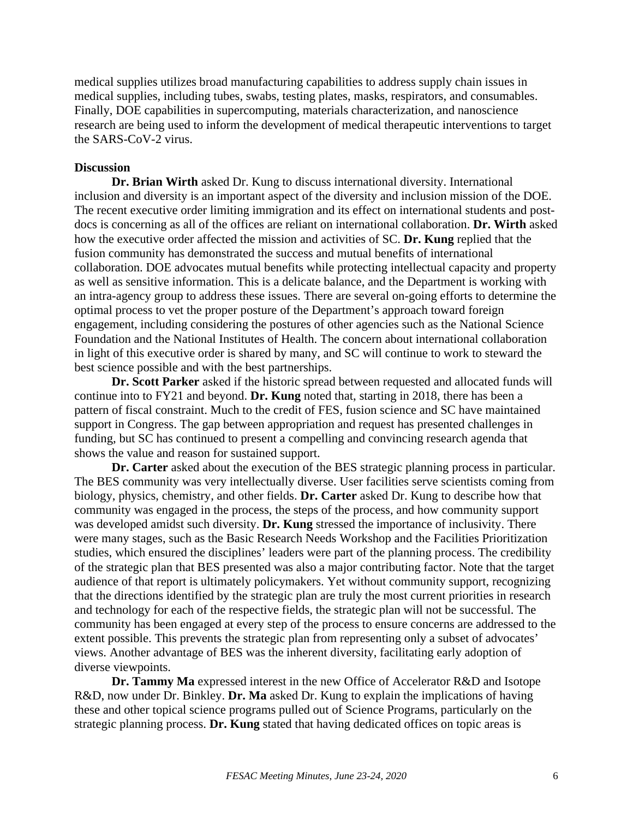medical supplies utilizes broad manufacturing capabilities to address supply chain issues in medical supplies, including tubes, swabs, testing plates, masks, respirators, and consumables. Finally, DOE capabilities in supercomputing, materials characterization, and nanoscience research are being used to inform the development of medical therapeutic interventions to target the SARS-CoV-2 virus.

## **Discussion**

**Dr. Brian Wirth** asked Dr. Kung to discuss international diversity. International inclusion and diversity is an important aspect of the diversity and inclusion mission of the DOE. The recent executive order limiting immigration and its effect on international students and postdocs is concerning as all of the offices are reliant on international collaboration. **Dr. Wirth** asked how the executive order affected the mission and activities of SC. **Dr. Kung** replied that the fusion community has demonstrated the success and mutual benefits of international collaboration. DOE advocates mutual benefits while protecting intellectual capacity and property as well as sensitive information. This is a delicate balance, and the Department is working with an intra-agency group to address these issues. There are several on-going efforts to determine the optimal process to vet the proper posture of the Department's approach toward foreign engagement, including considering the postures of other agencies such as the National Science Foundation and the National Institutes of Health. The concern about international collaboration in light of this executive order is shared by many, and SC will continue to work to steward the best science possible and with the best partnerships.

**Dr. Scott Parker** asked if the historic spread between requested and allocated funds will continue into to FY21 and beyond. **Dr. Kung** noted that, starting in 2018, there has been a pattern of fiscal constraint. Much to the credit of FES, fusion science and SC have maintained support in Congress. The gap between appropriation and request has presented challenges in funding, but SC has continued to present a compelling and convincing research agenda that shows the value and reason for sustained support.

**Dr. Carter** asked about the execution of the BES strategic planning process in particular. The BES community was very intellectually diverse. User facilities serve scientists coming from biology, physics, chemistry, and other fields. **Dr. Carter** asked Dr. Kung to describe how that community was engaged in the process, the steps of the process, and how community support was developed amidst such diversity. **Dr. Kung** stressed the importance of inclusivity. There were many stages, such as the Basic Research Needs Workshop and the Facilities Prioritization studies, which ensured the disciplines' leaders were part of the planning process. The credibility of the strategic plan that BES presented was also a major contributing factor. Note that the target audience of that report is ultimately policymakers. Yet without community support, recognizing that the directions identified by the strategic plan are truly the most current priorities in research and technology for each of the respective fields, the strategic plan will not be successful. The community has been engaged at every step of the process to ensure concerns are addressed to the extent possible. This prevents the strategic plan from representing only a subset of advocates' views. Another advantage of BES was the inherent diversity, facilitating early adoption of diverse viewpoints.

**Dr. Tammy Ma** expressed interest in the new Office of Accelerator R&D and Isotope R&D, now under Dr. Binkley. **Dr. Ma** asked Dr. Kung to explain the implications of having these and other topical science programs pulled out of Science Programs, particularly on the strategic planning process. **Dr. Kung** stated that having dedicated offices on topic areas is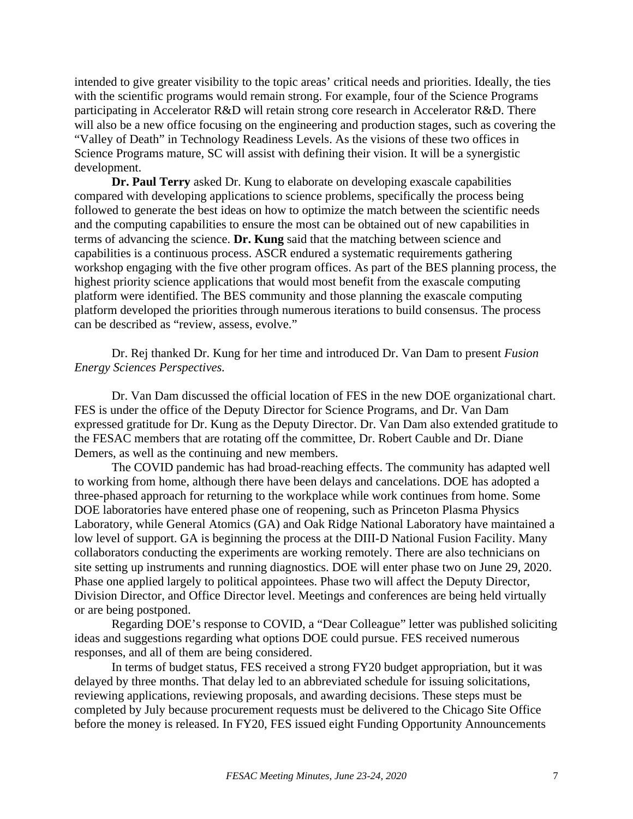intended to give greater visibility to the topic areas' critical needs and priorities. Ideally, the ties with the scientific programs would remain strong. For example, four of the Science Programs participating in Accelerator R&D will retain strong core research in Accelerator R&D. There will also be a new office focusing on the engineering and production stages, such as covering the "Valley of Death" in Technology Readiness Levels. As the visions of these two offices in Science Programs mature, SC will assist with defining their vision. It will be a synergistic development.

**Dr. Paul Terry** asked Dr. Kung to elaborate on developing exascale capabilities compared with developing applications to science problems, specifically the process being followed to generate the best ideas on how to optimize the match between the scientific needs and the computing capabilities to ensure the most can be obtained out of new capabilities in terms of advancing the science. **Dr. Kung** said that the matching between science and capabilities is a continuous process. ASCR endured a systematic requirements gathering workshop engaging with the five other program offices. As part of the BES planning process, the highest priority science applications that would most benefit from the exascale computing platform were identified. The BES community and those planning the exascale computing platform developed the priorities through numerous iterations to build consensus. The process can be described as "review, assess, evolve."

Dr. Rej thanked Dr. Kung for her time and introduced Dr. Van Dam to present *Fusion Energy Sciences Perspectives.*

Dr. Van Dam discussed the official location of FES in the new DOE organizational chart. FES is under the office of the Deputy Director for Science Programs, and Dr. Van Dam expressed gratitude for Dr. Kung as the Deputy Director. Dr. Van Dam also extended gratitude to the FESAC members that are rotating off the committee, Dr. Robert Cauble and Dr. Diane Demers, as well as the continuing and new members.

The COVID pandemic has had broad-reaching effects. The community has adapted well to working from home, although there have been delays and cancelations. DOE has adopted a three-phased approach for returning to the workplace while work continues from home. Some DOE laboratories have entered phase one of reopening, such as Princeton Plasma Physics Laboratory, while General Atomics (GA) and Oak Ridge National Laboratory have maintained a low level of support. GA is beginning the process at the DIII-D National Fusion Facility. Many collaborators conducting the experiments are working remotely. There are also technicians on site setting up instruments and running diagnostics. DOE will enter phase two on June 29, 2020. Phase one applied largely to political appointees. Phase two will affect the Deputy Director, Division Director, and Office Director level. Meetings and conferences are being held virtually or are being postponed.

Regarding DOE's response to COVID, a "Dear Colleague" letter was published soliciting ideas and suggestions regarding what options DOE could pursue. FES received numerous responses, and all of them are being considered.

In terms of budget status, FES received a strong FY20 budget appropriation, but it was delayed by three months. That delay led to an abbreviated schedule for issuing solicitations, reviewing applications, reviewing proposals, and awarding decisions. These steps must be completed by July because procurement requests must be delivered to the Chicago Site Office before the money is released. In FY20, FES issued eight Funding Opportunity Announcements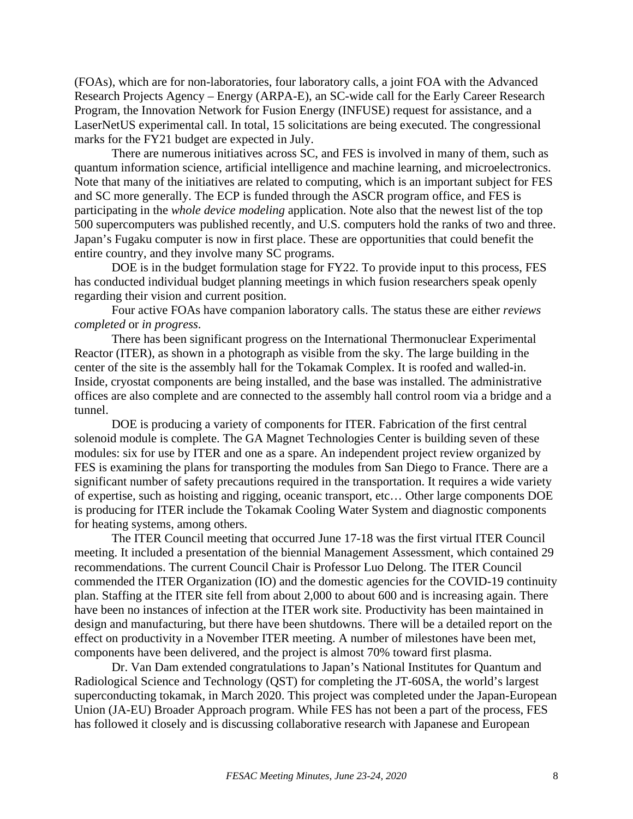(FOAs), which are for non-laboratories, four laboratory calls, a joint FOA with the Advanced Research Projects Agency – Energy (ARPA-E), an SC-wide call for the Early Career Research Program, the Innovation Network for Fusion Energy (INFUSE) request for assistance, and a LaserNetUS experimental call. In total, 15 solicitations are being executed. The congressional marks for the FY21 budget are expected in July.

There are numerous initiatives across SC, and FES is involved in many of them, such as quantum information science, artificial intelligence and machine learning, and microelectronics. Note that many of the initiatives are related to computing, which is an important subject for FES and SC more generally. The ECP is funded through the ASCR program office, and FES is participating in the *whole device modeling* application. Note also that the newest list of the top 500 supercomputers was published recently, and U.S. computers hold the ranks of two and three. Japan's Fugaku computer is now in first place. These are opportunities that could benefit the entire country, and they involve many SC programs.

DOE is in the budget formulation stage for FY22. To provide input to this process, FES has conducted individual budget planning meetings in which fusion researchers speak openly regarding their vision and current position.

Four active FOAs have companion laboratory calls. The status these are either *reviews completed* or *in progress*.

There has been significant progress on the International Thermonuclear Experimental Reactor (ITER), as shown in a photograph as visible from the sky. The large building in the center of the site is the assembly hall for the Tokamak Complex. It is roofed and walled-in. Inside, cryostat components are being installed, and the base was installed. The administrative offices are also complete and are connected to the assembly hall control room via a bridge and a tunnel.

DOE is producing a variety of components for ITER. Fabrication of the first central solenoid module is complete. The GA Magnet Technologies Center is building seven of these modules: six for use by ITER and one as a spare. An independent project review organized by FES is examining the plans for transporting the modules from San Diego to France. There are a significant number of safety precautions required in the transportation. It requires a wide variety of expertise, such as hoisting and rigging, oceanic transport, etc… Other large components DOE is producing for ITER include the Tokamak Cooling Water System and diagnostic components for heating systems, among others.

The ITER Council meeting that occurred June 17-18 was the first virtual ITER Council meeting. It included a presentation of the biennial Management Assessment, which contained 29 recommendations. The current Council Chair is Professor Luo Delong. The ITER Council commended the ITER Organization (IO) and the domestic agencies for the COVID-19 continuity plan. Staffing at the ITER site fell from about 2,000 to about 600 and is increasing again. There have been no instances of infection at the ITER work site. Productivity has been maintained in design and manufacturing, but there have been shutdowns. There will be a detailed report on the effect on productivity in a November ITER meeting. A number of milestones have been met, components have been delivered, and the project is almost 70% toward first plasma.

Dr. Van Dam extended congratulations to Japan's National Institutes for Quantum and Radiological Science and Technology (QST) for completing the JT-60SA, the world's largest superconducting tokamak, in March 2020. This project was completed under the Japan-European Union (JA-EU) Broader Approach program. While FES has not been a part of the process, FES has followed it closely and is discussing collaborative research with Japanese and European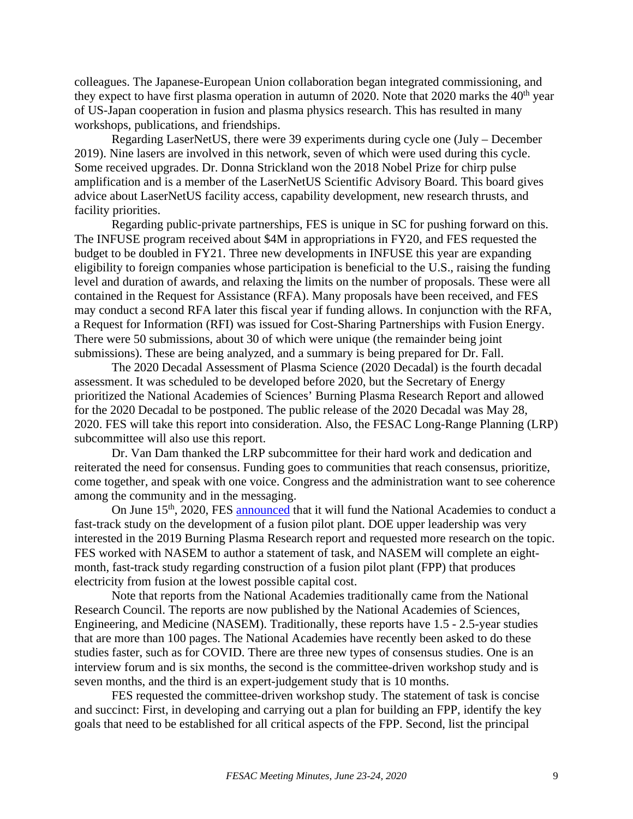colleagues. The Japanese-European Union collaboration began integrated commissioning, and they expect to have first plasma operation in autumn of 2020. Note that 2020 marks the  $40<sup>th</sup>$  year of US-Japan cooperation in fusion and plasma physics research. This has resulted in many workshops, publications, and friendships.

Regarding LaserNetUS, there were 39 experiments during cycle one (July – December 2019). Nine lasers are involved in this network, seven of which were used during this cycle. Some received upgrades. Dr. Donna Strickland won the 2018 Nobel Prize for chirp pulse amplification and is a member of the LaserNetUS Scientific Advisory Board. This board gives advice about LaserNetUS facility access, capability development, new research thrusts, and facility priorities.

Regarding public-private partnerships, FES is unique in SC for pushing forward on this. The INFUSE program received about \$4M in appropriations in FY20, and FES requested the budget to be doubled in FY21. Three new developments in INFUSE this year are expanding eligibility to foreign companies whose participation is beneficial to the U.S., raising the funding level and duration of awards, and relaxing the limits on the number of proposals. These were all contained in the Request for Assistance (RFA). Many proposals have been received, and FES may conduct a second RFA later this fiscal year if funding allows. In conjunction with the RFA, a Request for Information (RFI) was issued for Cost-Sharing Partnerships with Fusion Energy. There were 50 submissions, about 30 of which were unique (the remainder being joint submissions). These are being analyzed, and a summary is being prepared for Dr. Fall.

The 2020 Decadal Assessment of Plasma Science (2020 Decadal) is the fourth decadal assessment. It was scheduled to be developed before 2020, but the Secretary of Energy prioritized the National Academies of Sciences' Burning Plasma Research Report and allowed for the 2020 Decadal to be postponed. The public release of the 2020 Decadal was May 28, 2020. FES will take this report into consideration. Also, the FESAC Long-Range Planning (LRP) subcommittee will also use this report.

Dr. Van Dam thanked the LRP subcommittee for their hard work and dedication and reiterated the need for consensus. Funding goes to communities that reach consensus, prioritize, come together, and speak with one voice. Congress and the administration want to see coherence among the community and in the messaging.

On June 15<sup>th</sup>, 2020, FES [announced](https://science.osti.gov/-/media/fes/pdf/2020/NASEM_Award_Announcement_June_2020.pdf?la=en&hash=0B202ADC24CA0D6AD4CADE091BEFBAF8335B416C) that it will fund the National Academies to conduct a fast-track study on the development of a fusion pilot plant. DOE upper leadership was very interested in the 2019 Burning Plasma Research report and requested more research on the topic. FES worked with NASEM to author a statement of task, and NASEM will complete an eightmonth, fast-track study regarding construction of a fusion pilot plant (FPP) that produces electricity from fusion at the lowest possible capital cost.

Note that reports from the National Academies traditionally came from the National Research Council. The reports are now published by the National Academies of Sciences, Engineering, and Medicine (NASEM). Traditionally, these reports have 1.5 - 2.5-year studies that are more than 100 pages. The National Academies have recently been asked to do these studies faster, such as for COVID. There are three new types of consensus studies. One is an interview forum and is six months, the second is the committee-driven workshop study and is seven months, and the third is an expert-judgement study that is 10 months.

FES requested the committee-driven workshop study. The statement of task is concise and succinct: First, in developing and carrying out a plan for building an FPP, identify the key goals that need to be established for all critical aspects of the FPP. Second, list the principal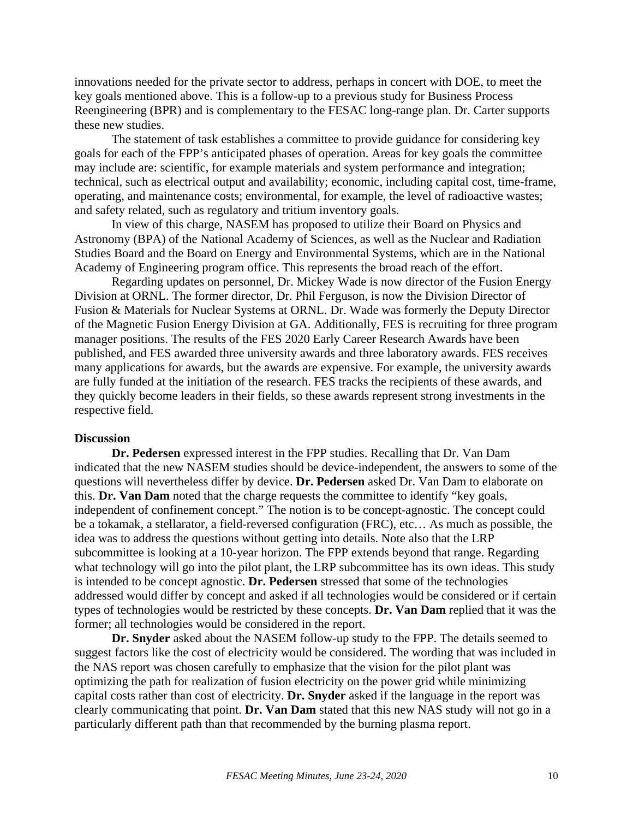innovations needed for the private sector to address, perhaps in concert with DOE, to meet the key goals mentioned above. This is a follow-up to a previous study for Business Process Reengineering (BPR) and is complementary to the FESAC long-range plan. Dr. Carter supports these new studies.

The statement of task establishes a committee to provide guidance for considering key goals for each of the FPP's anticipated phases of operation. Areas for key goals the committee may include are: scientific, for example materials and system performance and integration; technical, such as electrical output and availability; economic, including capital cost, time-frame, operating, and maintenance costs; environmental, for example, the level of radioactive wastes; and safety related, such as regulatory and tritium inventory goals.

In view of this charge, NASEM has proposed to utilize their Board on Physics and Astronomy (BPA) of the National Academy of Sciences, as well as the Nuclear and Radiation Studies Board and the Board on Energy and Environmental Systems, which are in the National Academy of Engineering program office. This represents the broad reach of the effort.

Regarding updates on personnel, Dr. Mickey Wade is now director of the Fusion Energy Division at ORNL. The former director, Dr. Phil Ferguson, is now the Division Director of Fusion & Materials for Nuclear Systems at ORNL. Dr. Wade was formerly the Deputy Director of the Magnetic Fusion Energy Division at GA. Additionally, FES is recruiting for three program manager positions. The results of the FES 2020 Early Career Research Awards have been published, and FES awarded three university awards and three laboratory awards. FES receives many applications for awards, but the awards are expensive. For example, the university awards are fully funded at the initiation of the research. FES tracks the recipients of these awards, and they quickly become leaders in their fields, so these awards represent strong investments in the respective field.

#### **Discussion**

**Dr. Pedersen** expressed interest in the FPP studies. Recalling that Dr. Van Dam indicated that the new NASEM studies should be device-independent, the answers to some of the questions will nevertheless differ by device. **Dr. Pedersen** asked Dr. Van Dam to elaborate on this. **Dr. Van Dam** noted that the charge requests the committee to identify "key goals, independent of confinement concept." The notion is to be concept-agnostic. The concept could be a tokamak, a stellarator, a field-reversed configuration (FRC), etc… As much as possible, the idea was to address the questions without getting into details. Note also that the LRP subcommittee is looking at a 10-year horizon. The FPP extends beyond that range. Regarding what technology will go into the pilot plant, the LRP subcommittee has its own ideas. This study is intended to be concept agnostic. **Dr. Pedersen** stressed that some of the technologies addressed would differ by concept and asked if all technologies would be considered or if certain types of technologies would be restricted by these concepts. **Dr. Van Dam** replied that it was the former; all technologies would be considered in the report.

**Dr. Snyder** asked about the NASEM follow-up study to the FPP. The details seemed to suggest factors like the cost of electricity would be considered. The wording that was included in the NAS report was chosen carefully to emphasize that the vision for the pilot plant was optimizing the path for realization of fusion electricity on the power grid while minimizing capital costs rather than cost of electricity. **Dr. Snyder** asked if the language in the report was clearly communicating that point. **Dr. Van Dam** stated that this new NAS study will not go in a particularly different path than that recommended by the burning plasma report.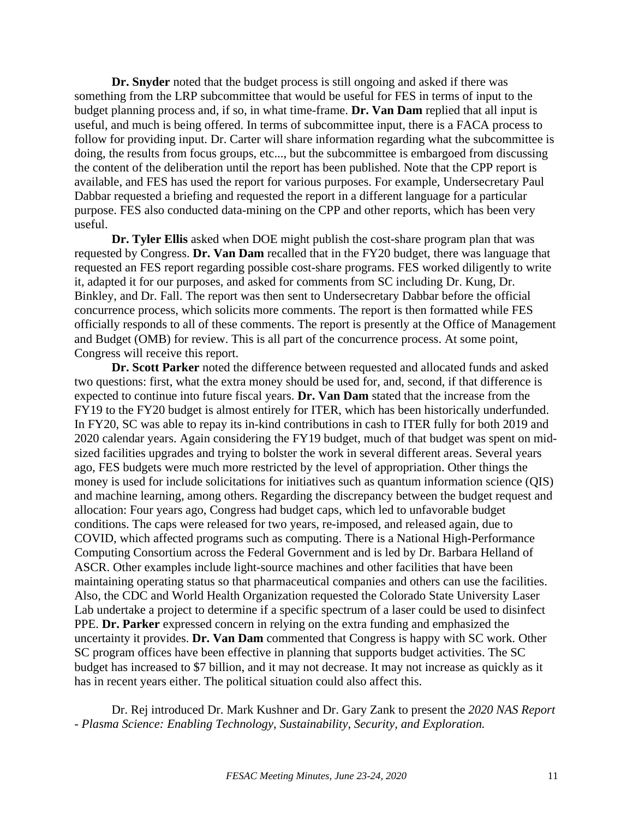**Dr. Snyder** noted that the budget process is still ongoing and asked if there was something from the LRP subcommittee that would be useful for FES in terms of input to the budget planning process and, if so, in what time-frame. **Dr. Van Dam** replied that all input is useful, and much is being offered. In terms of subcommittee input, there is a FACA process to follow for providing input. Dr. Carter will share information regarding what the subcommittee is doing, the results from focus groups, etc..., but the subcommittee is embargoed from discussing the content of the deliberation until the report has been published. Note that the CPP report is available, and FES has used the report for various purposes. For example, Undersecretary Paul Dabbar requested a briefing and requested the report in a different language for a particular purpose. FES also conducted data-mining on the CPP and other reports, which has been very useful.

**Dr. Tyler Ellis** asked when DOE might publish the cost-share program plan that was requested by Congress. **Dr. Van Dam** recalled that in the FY20 budget, there was language that requested an FES report regarding possible cost-share programs. FES worked diligently to write it, adapted it for our purposes, and asked for comments from SC including Dr. Kung, Dr. Binkley, and Dr. Fall. The report was then sent to Undersecretary Dabbar before the official concurrence process, which solicits more comments. The report is then formatted while FES officially responds to all of these comments. The report is presently at the Office of Management and Budget (OMB) for review. This is all part of the concurrence process. At some point, Congress will receive this report.

**Dr. Scott Parker** noted the difference between requested and allocated funds and asked two questions: first, what the extra money should be used for, and, second, if that difference is expected to continue into future fiscal years. **Dr. Van Dam** stated that the increase from the FY19 to the FY20 budget is almost entirely for ITER, which has been historically underfunded. In FY20, SC was able to repay its in-kind contributions in cash to ITER fully for both 2019 and 2020 calendar years. Again considering the FY19 budget, much of that budget was spent on midsized facilities upgrades and trying to bolster the work in several different areas. Several years ago, FES budgets were much more restricted by the level of appropriation. Other things the money is used for include solicitations for initiatives such as quantum information science (QIS) and machine learning, among others. Regarding the discrepancy between the budget request and allocation: Four years ago, Congress had budget caps, which led to unfavorable budget conditions. The caps were released for two years, re-imposed, and released again, due to COVID, which affected programs such as computing. There is a National High-Performance Computing Consortium across the Federal Government and is led by Dr. Barbara Helland of ASCR. Other examples include light-source machines and other facilities that have been maintaining operating status so that pharmaceutical companies and others can use the facilities. Also, the CDC and World Health Organization requested the Colorado State University Laser Lab undertake a project to determine if a specific spectrum of a laser could be used to disinfect PPE. **Dr. Parker** expressed concern in relying on the extra funding and emphasized the uncertainty it provides. **Dr. Van Dam** commented that Congress is happy with SC work. Other SC program offices have been effective in planning that supports budget activities. The SC budget has increased to \$7 billion, and it may not decrease. It may not increase as quickly as it has in recent years either. The political situation could also affect this.

Dr. Rej introduced Dr. Mark Kushner and Dr. Gary Zank to present the *2020 NAS Report - Plasma Science: Enabling Technology, Sustainability, Security, and Exploration.*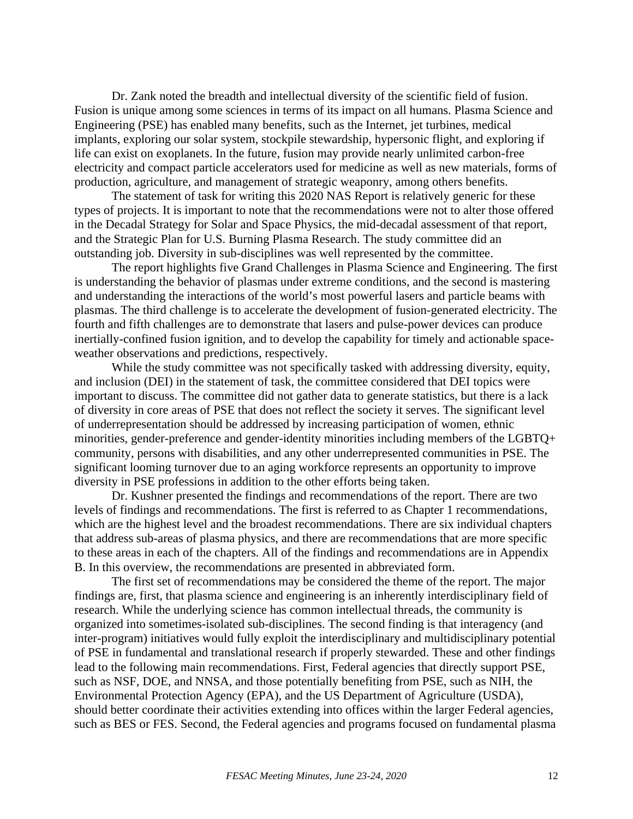Dr. Zank noted the breadth and intellectual diversity of the scientific field of fusion. Fusion is unique among some sciences in terms of its impact on all humans. Plasma Science and Engineering (PSE) has enabled many benefits, such as the Internet, jet turbines, medical implants, exploring our solar system, stockpile stewardship, hypersonic flight, and exploring if life can exist on exoplanets. In the future, fusion may provide nearly unlimited carbon-free electricity and compact particle accelerators used for medicine as well as new materials, forms of production, agriculture, and management of strategic weaponry, among others benefits.

The statement of task for writing this 2020 NAS Report is relatively generic for these types of projects. It is important to note that the recommendations were not to alter those offered in the Decadal Strategy for Solar and Space Physics, the mid-decadal assessment of that report, and the Strategic Plan for U.S. Burning Plasma Research. The study committee did an outstanding job. Diversity in sub-disciplines was well represented by the committee.

The report highlights five Grand Challenges in Plasma Science and Engineering. The first is understanding the behavior of plasmas under extreme conditions, and the second is mastering and understanding the interactions of the world's most powerful lasers and particle beams with plasmas. The third challenge is to accelerate the development of fusion-generated electricity. The fourth and fifth challenges are to demonstrate that lasers and pulse-power devices can produce inertially-confined fusion ignition, and to develop the capability for timely and actionable spaceweather observations and predictions, respectively.

While the study committee was not specifically tasked with addressing diversity, equity, and inclusion (DEI) in the statement of task, the committee considered that DEI topics were important to discuss. The committee did not gather data to generate statistics, but there is a lack of diversity in core areas of PSE that does not reflect the society it serves. The significant level of underrepresentation should be addressed by increasing participation of women, ethnic minorities, gender-preference and gender-identity minorities including members of the LGBTQ+ community, persons with disabilities, and any other underrepresented communities in PSE. The significant looming turnover due to an aging workforce represents an opportunity to improve diversity in PSE professions in addition to the other efforts being taken.

Dr. Kushner presented the findings and recommendations of the report. There are two levels of findings and recommendations. The first is referred to as Chapter 1 recommendations, which are the highest level and the broadest recommendations. There are six individual chapters that address sub-areas of plasma physics, and there are recommendations that are more specific to these areas in each of the chapters. All of the findings and recommendations are in Appendix B. In this overview, the recommendations are presented in abbreviated form.

The first set of recommendations may be considered the theme of the report. The major findings are, first, that plasma science and engineering is an inherently interdisciplinary field of research. While the underlying science has common intellectual threads, the community is organized into sometimes-isolated sub-disciplines. The second finding is that interagency (and inter-program) initiatives would fully exploit the interdisciplinary and multidisciplinary potential of PSE in fundamental and translational research if properly stewarded. These and other findings lead to the following main recommendations. First, Federal agencies that directly support PSE, such as NSF, DOE, and NNSA, and those potentially benefiting from PSE, such as NIH, the Environmental Protection Agency (EPA), and the US Department of Agriculture (USDA), should better coordinate their activities extending into offices within the larger Federal agencies, such as BES or FES. Second, the Federal agencies and programs focused on fundamental plasma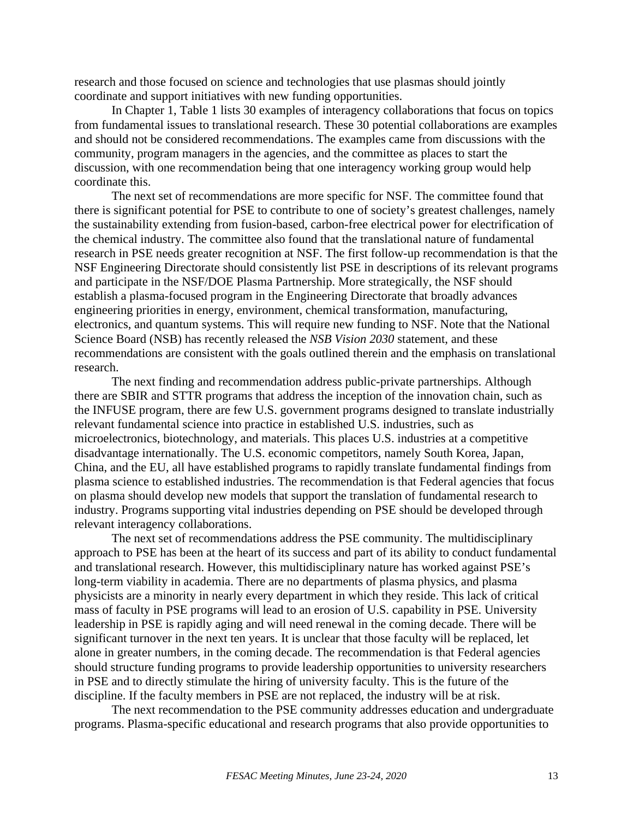research and those focused on science and technologies that use plasmas should jointly coordinate and support initiatives with new funding opportunities.

In Chapter 1, Table 1 lists 30 examples of interagency collaborations that focus on topics from fundamental issues to translational research. These 30 potential collaborations are examples and should not be considered recommendations. The examples came from discussions with the community, program managers in the agencies, and the committee as places to start the discussion, with one recommendation being that one interagency working group would help coordinate this.

The next set of recommendations are more specific for NSF. The committee found that there is significant potential for PSE to contribute to one of society's greatest challenges, namely the sustainability extending from fusion-based, carbon-free electrical power for electrification of the chemical industry. The committee also found that the translational nature of fundamental research in PSE needs greater recognition at NSF. The first follow-up recommendation is that the NSF Engineering Directorate should consistently list PSE in descriptions of its relevant programs and participate in the NSF/DOE Plasma Partnership. More strategically, the NSF should establish a plasma-focused program in the Engineering Directorate that broadly advances engineering priorities in energy, environment, chemical transformation, manufacturing, electronics, and quantum systems. This will require new funding to NSF. Note that the National Science Board (NSB) has recently released the *NSB Vision 2030* statement, and these recommendations are consistent with the goals outlined therein and the emphasis on translational research.

The next finding and recommendation address public-private partnerships. Although there are SBIR and STTR programs that address the inception of the innovation chain, such as the INFUSE program, there are few U.S. government programs designed to translate industrially relevant fundamental science into practice in established U.S. industries, such as microelectronics, biotechnology, and materials. This places U.S. industries at a competitive disadvantage internationally. The U.S. economic competitors, namely South Korea, Japan, China, and the EU, all have established programs to rapidly translate fundamental findings from plasma science to established industries. The recommendation is that Federal agencies that focus on plasma should develop new models that support the translation of fundamental research to industry. Programs supporting vital industries depending on PSE should be developed through relevant interagency collaborations.

The next set of recommendations address the PSE community. The multidisciplinary approach to PSE has been at the heart of its success and part of its ability to conduct fundamental and translational research. However, this multidisciplinary nature has worked against PSE's long-term viability in academia. There are no departments of plasma physics, and plasma physicists are a minority in nearly every department in which they reside. This lack of critical mass of faculty in PSE programs will lead to an erosion of U.S. capability in PSE. University leadership in PSE is rapidly aging and will need renewal in the coming decade. There will be significant turnover in the next ten years. It is unclear that those faculty will be replaced, let alone in greater numbers, in the coming decade. The recommendation is that Federal agencies should structure funding programs to provide leadership opportunities to university researchers in PSE and to directly stimulate the hiring of university faculty. This is the future of the discipline. If the faculty members in PSE are not replaced, the industry will be at risk.

The next recommendation to the PSE community addresses education and undergraduate programs. Plasma-specific educational and research programs that also provide opportunities to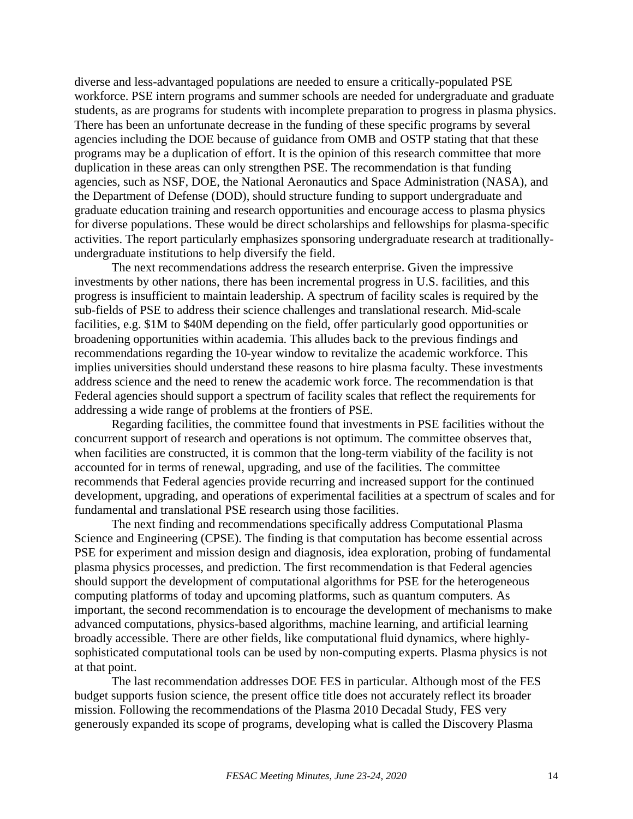diverse and less-advantaged populations are needed to ensure a critically-populated PSE workforce. PSE intern programs and summer schools are needed for undergraduate and graduate students, as are programs for students with incomplete preparation to progress in plasma physics. There has been an unfortunate decrease in the funding of these specific programs by several agencies including the DOE because of guidance from OMB and OSTP stating that that these programs may be a duplication of effort. It is the opinion of this research committee that more duplication in these areas can only strengthen PSE. The recommendation is that funding agencies, such as NSF, DOE, the National Aeronautics and Space Administration (NASA), and the Department of Defense (DOD), should structure funding to support undergraduate and graduate education training and research opportunities and encourage access to plasma physics for diverse populations. These would be direct scholarships and fellowships for plasma-specific activities. The report particularly emphasizes sponsoring undergraduate research at traditionallyundergraduate institutions to help diversify the field.

The next recommendations address the research enterprise. Given the impressive investments by other nations, there has been incremental progress in U.S. facilities, and this progress is insufficient to maintain leadership. A spectrum of facility scales is required by the sub-fields of PSE to address their science challenges and translational research. Mid-scale facilities, e.g. \$1M to \$40M depending on the field, offer particularly good opportunities or broadening opportunities within academia. This alludes back to the previous findings and recommendations regarding the 10-year window to revitalize the academic workforce. This implies universities should understand these reasons to hire plasma faculty. These investments address science and the need to renew the academic work force. The recommendation is that Federal agencies should support a spectrum of facility scales that reflect the requirements for addressing a wide range of problems at the frontiers of PSE.

Regarding facilities, the committee found that investments in PSE facilities without the concurrent support of research and operations is not optimum. The committee observes that, when facilities are constructed, it is common that the long-term viability of the facility is not accounted for in terms of renewal, upgrading, and use of the facilities. The committee recommends that Federal agencies provide recurring and increased support for the continued development, upgrading, and operations of experimental facilities at a spectrum of scales and for fundamental and translational PSE research using those facilities.

The next finding and recommendations specifically address Computational Plasma Science and Engineering (CPSE). The finding is that computation has become essential across PSE for experiment and mission design and diagnosis, idea exploration, probing of fundamental plasma physics processes, and prediction. The first recommendation is that Federal agencies should support the development of computational algorithms for PSE for the heterogeneous computing platforms of today and upcoming platforms, such as quantum computers. As important, the second recommendation is to encourage the development of mechanisms to make advanced computations, physics-based algorithms, machine learning, and artificial learning broadly accessible. There are other fields, like computational fluid dynamics, where highlysophisticated computational tools can be used by non-computing experts. Plasma physics is not at that point.

The last recommendation addresses DOE FES in particular. Although most of the FES budget supports fusion science, the present office title does not accurately reflect its broader mission. Following the recommendations of the Plasma 2010 Decadal Study, FES very generously expanded its scope of programs, developing what is called the Discovery Plasma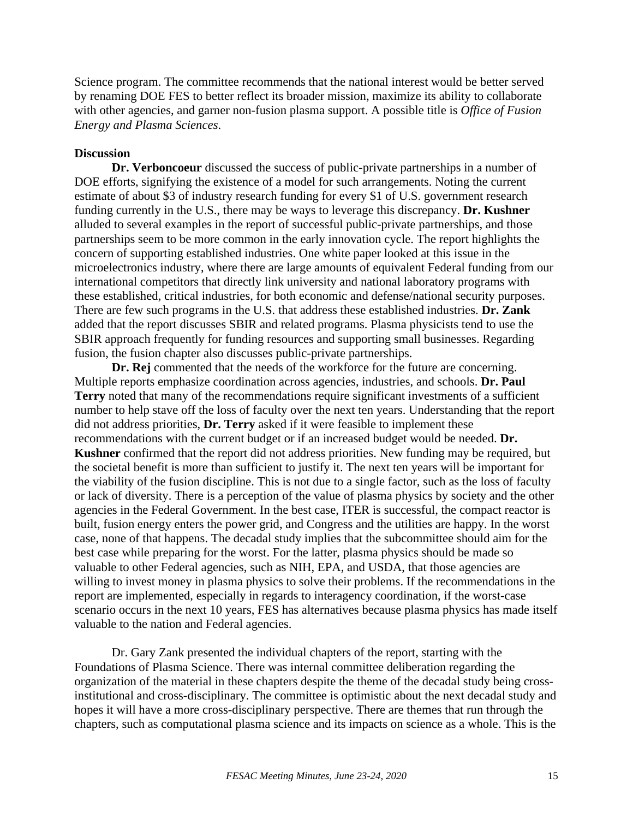Science program. The committee recommends that the national interest would be better served by renaming DOE FES to better reflect its broader mission, maximize its ability to collaborate with other agencies, and garner non-fusion plasma support. A possible title is *Office of Fusion Energy and Plasma Sciences*.

# **Discussion**

**Dr. Verboncoeur** discussed the success of public-private partnerships in a number of DOE efforts, signifying the existence of a model for such arrangements. Noting the current estimate of about \$3 of industry research funding for every \$1 of U.S. government research funding currently in the U.S., there may be ways to leverage this discrepancy. **Dr. Kushner** alluded to several examples in the report of successful public-private partnerships, and those partnerships seem to be more common in the early innovation cycle. The report highlights the concern of supporting established industries. One white paper looked at this issue in the microelectronics industry, where there are large amounts of equivalent Federal funding from our international competitors that directly link university and national laboratory programs with these established, critical industries, for both economic and defense/national security purposes. There are few such programs in the U.S. that address these established industries. **Dr. Zank** added that the report discusses SBIR and related programs. Plasma physicists tend to use the SBIR approach frequently for funding resources and supporting small businesses. Regarding fusion, the fusion chapter also discusses public-private partnerships.

**Dr. Rej** commented that the needs of the workforce for the future are concerning. Multiple reports emphasize coordination across agencies, industries, and schools. **Dr. Paul Terry** noted that many of the recommendations require significant investments of a sufficient number to help stave off the loss of faculty over the next ten years. Understanding that the report did not address priorities, **Dr. Terry** asked if it were feasible to implement these recommendations with the current budget or if an increased budget would be needed. **Dr. Kushner** confirmed that the report did not address priorities. New funding may be required, but the societal benefit is more than sufficient to justify it. The next ten years will be important for the viability of the fusion discipline. This is not due to a single factor, such as the loss of faculty or lack of diversity. There is a perception of the value of plasma physics by society and the other agencies in the Federal Government. In the best case, ITER is successful, the compact reactor is built, fusion energy enters the power grid, and Congress and the utilities are happy. In the worst case, none of that happens. The decadal study implies that the subcommittee should aim for the best case while preparing for the worst. For the latter, plasma physics should be made so valuable to other Federal agencies, such as NIH, EPA, and USDA, that those agencies are willing to invest money in plasma physics to solve their problems. If the recommendations in the report are implemented, especially in regards to interagency coordination, if the worst-case scenario occurs in the next 10 years, FES has alternatives because plasma physics has made itself valuable to the nation and Federal agencies.

Dr. Gary Zank presented the individual chapters of the report, starting with the Foundations of Plasma Science. There was internal committee deliberation regarding the organization of the material in these chapters despite the theme of the decadal study being crossinstitutional and cross-disciplinary. The committee is optimistic about the next decadal study and hopes it will have a more cross-disciplinary perspective. There are themes that run through the chapters, such as computational plasma science and its impacts on science as a whole. This is the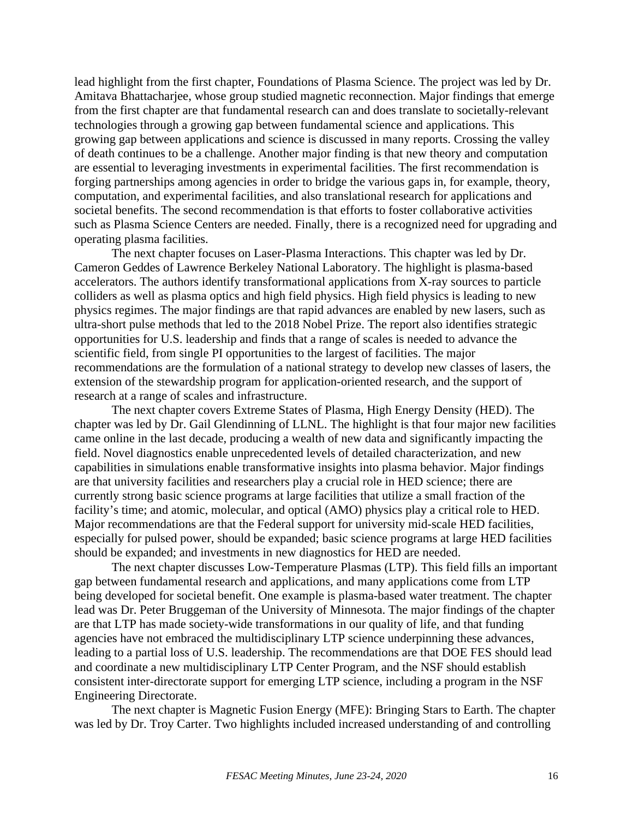lead highlight from the first chapter, Foundations of Plasma Science. The project was led by Dr. Amitava Bhattacharjee, whose group studied magnetic reconnection. Major findings that emerge from the first chapter are that fundamental research can and does translate to societally-relevant technologies through a growing gap between fundamental science and applications. This growing gap between applications and science is discussed in many reports. Crossing the valley of death continues to be a challenge. Another major finding is that new theory and computation are essential to leveraging investments in experimental facilities. The first recommendation is forging partnerships among agencies in order to bridge the various gaps in, for example, theory, computation, and experimental facilities, and also translational research for applications and societal benefits. The second recommendation is that efforts to foster collaborative activities such as Plasma Science Centers are needed. Finally, there is a recognized need for upgrading and operating plasma facilities.

The next chapter focuses on Laser-Plasma Interactions. This chapter was led by Dr. Cameron Geddes of Lawrence Berkeley National Laboratory. The highlight is plasma-based accelerators. The authors identify transformational applications from X-ray sources to particle colliders as well as plasma optics and high field physics. High field physics is leading to new physics regimes. The major findings are that rapid advances are enabled by new lasers, such as ultra-short pulse methods that led to the 2018 Nobel Prize. The report also identifies strategic opportunities for U.S. leadership and finds that a range of scales is needed to advance the scientific field, from single PI opportunities to the largest of facilities. The major recommendations are the formulation of a national strategy to develop new classes of lasers, the extension of the stewardship program for application-oriented research, and the support of research at a range of scales and infrastructure.

The next chapter covers Extreme States of Plasma, High Energy Density (HED). The chapter was led by Dr. Gail Glendinning of LLNL. The highlight is that four major new facilities came online in the last decade, producing a wealth of new data and significantly impacting the field. Novel diagnostics enable unprecedented levels of detailed characterization, and new capabilities in simulations enable transformative insights into plasma behavior. Major findings are that university facilities and researchers play a crucial role in HED science; there are currently strong basic science programs at large facilities that utilize a small fraction of the facility's time; and atomic, molecular, and optical (AMO) physics play a critical role to HED. Major recommendations are that the Federal support for university mid-scale HED facilities, especially for pulsed power, should be expanded; basic science programs at large HED facilities should be expanded; and investments in new diagnostics for HED are needed.

The next chapter discusses Low-Temperature Plasmas (LTP). This field fills an important gap between fundamental research and applications, and many applications come from LTP being developed for societal benefit. One example is plasma-based water treatment. The chapter lead was Dr. Peter Bruggeman of the University of Minnesota. The major findings of the chapter are that LTP has made society-wide transformations in our quality of life, and that funding agencies have not embraced the multidisciplinary LTP science underpinning these advances, leading to a partial loss of U.S. leadership. The recommendations are that DOE FES should lead and coordinate a new multidisciplinary LTP Center Program, and the NSF should establish consistent inter-directorate support for emerging LTP science, including a program in the NSF Engineering Directorate.

The next chapter is Magnetic Fusion Energy (MFE): Bringing Stars to Earth. The chapter was led by Dr. Troy Carter. Two highlights included increased understanding of and controlling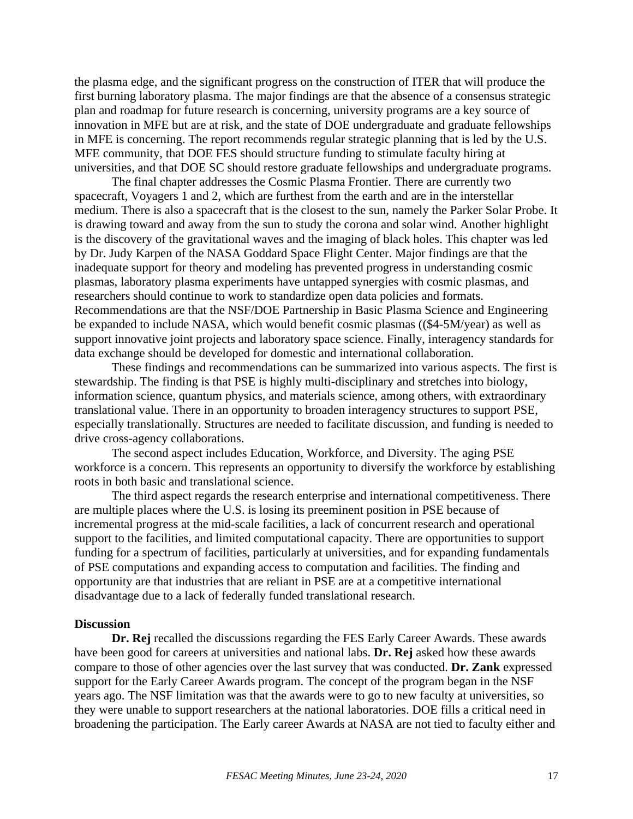the plasma edge, and the significant progress on the construction of ITER that will produce the first burning laboratory plasma. The major findings are that the absence of a consensus strategic plan and roadmap for future research is concerning, university programs are a key source of innovation in MFE but are at risk, and the state of DOE undergraduate and graduate fellowships in MFE is concerning. The report recommends regular strategic planning that is led by the U.S. MFE community, that DOE FES should structure funding to stimulate faculty hiring at universities, and that DOE SC should restore graduate fellowships and undergraduate programs.

The final chapter addresses the Cosmic Plasma Frontier. There are currently two spacecraft, Voyagers 1 and 2, which are furthest from the earth and are in the interstellar medium. There is also a spacecraft that is the closest to the sun, namely the Parker Solar Probe. It is drawing toward and away from the sun to study the corona and solar wind. Another highlight is the discovery of the gravitational waves and the imaging of black holes. This chapter was led by Dr. Judy Karpen of the NASA Goddard Space Flight Center. Major findings are that the inadequate support for theory and modeling has prevented progress in understanding cosmic plasmas, laboratory plasma experiments have untapped synergies with cosmic plasmas, and researchers should continue to work to standardize open data policies and formats. Recommendations are that the NSF/DOE Partnership in Basic Plasma Science and Engineering be expanded to include NASA, which would benefit cosmic plasmas ((\$4-5M/year) as well as support innovative joint projects and laboratory space science. Finally, interagency standards for data exchange should be developed for domestic and international collaboration.

These findings and recommendations can be summarized into various aspects. The first is stewardship. The finding is that PSE is highly multi-disciplinary and stretches into biology, information science, quantum physics, and materials science, among others, with extraordinary translational value. There in an opportunity to broaden interagency structures to support PSE, especially translationally. Structures are needed to facilitate discussion, and funding is needed to drive cross-agency collaborations.

The second aspect includes Education, Workforce, and Diversity. The aging PSE workforce is a concern. This represents an opportunity to diversify the workforce by establishing roots in both basic and translational science.

The third aspect regards the research enterprise and international competitiveness. There are multiple places where the U.S. is losing its preeminent position in PSE because of incremental progress at the mid-scale facilities, a lack of concurrent research and operational support to the facilities, and limited computational capacity. There are opportunities to support funding for a spectrum of facilities, particularly at universities, and for expanding fundamentals of PSE computations and expanding access to computation and facilities. The finding and opportunity are that industries that are reliant in PSE are at a competitive international disadvantage due to a lack of federally funded translational research.

#### **Discussion**

**Dr. Rej** recalled the discussions regarding the FES Early Career Awards. These awards have been good for careers at universities and national labs. **Dr. Rej** asked how these awards compare to those of other agencies over the last survey that was conducted. **Dr. Zank** expressed support for the Early Career Awards program. The concept of the program began in the NSF years ago. The NSF limitation was that the awards were to go to new faculty at universities, so they were unable to support researchers at the national laboratories. DOE fills a critical need in broadening the participation. The Early career Awards at NASA are not tied to faculty either and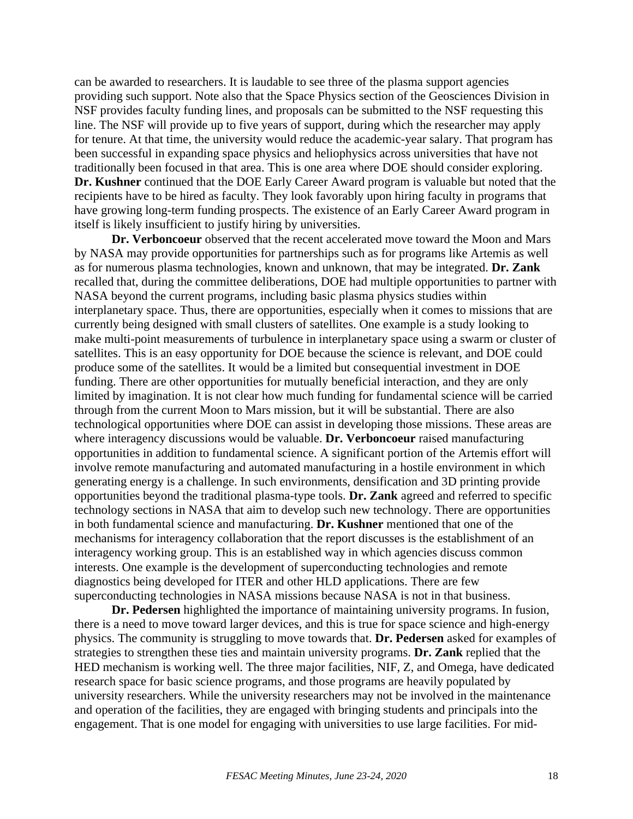can be awarded to researchers. It is laudable to see three of the plasma support agencies providing such support. Note also that the Space Physics section of the Geosciences Division in NSF provides faculty funding lines, and proposals can be submitted to the NSF requesting this line. The NSF will provide up to five years of support, during which the researcher may apply for tenure. At that time, the university would reduce the academic-year salary. That program has been successful in expanding space physics and heliophysics across universities that have not traditionally been focused in that area. This is one area where DOE should consider exploring. **Dr. Kushner** continued that the DOE Early Career Award program is valuable but noted that the recipients have to be hired as faculty. They look favorably upon hiring faculty in programs that have growing long-term funding prospects. The existence of an Early Career Award program in itself is likely insufficient to justify hiring by universities.

**Dr. Verboncoeur** observed that the recent accelerated move toward the Moon and Mars by NASA may provide opportunities for partnerships such as for programs like Artemis as well as for numerous plasma technologies, known and unknown, that may be integrated. **Dr. Zank** recalled that, during the committee deliberations, DOE had multiple opportunities to partner with NASA beyond the current programs, including basic plasma physics studies within interplanetary space. Thus, there are opportunities, especially when it comes to missions that are currently being designed with small clusters of satellites. One example is a study looking to make multi-point measurements of turbulence in interplanetary space using a swarm or cluster of satellites. This is an easy opportunity for DOE because the science is relevant, and DOE could produce some of the satellites. It would be a limited but consequential investment in DOE funding. There are other opportunities for mutually beneficial interaction, and they are only limited by imagination. It is not clear how much funding for fundamental science will be carried through from the current Moon to Mars mission, but it will be substantial. There are also technological opportunities where DOE can assist in developing those missions. These areas are where interagency discussions would be valuable. **Dr. Verboncoeur** raised manufacturing opportunities in addition to fundamental science. A significant portion of the Artemis effort will involve remote manufacturing and automated manufacturing in a hostile environment in which generating energy is a challenge. In such environments, densification and 3D printing provide opportunities beyond the traditional plasma-type tools. **Dr. Zank** agreed and referred to specific technology sections in NASA that aim to develop such new technology. There are opportunities in both fundamental science and manufacturing. **Dr. Kushner** mentioned that one of the mechanisms for interagency collaboration that the report discusses is the establishment of an interagency working group. This is an established way in which agencies discuss common interests. One example is the development of superconducting technologies and remote diagnostics being developed for ITER and other HLD applications. There are few superconducting technologies in NASA missions because NASA is not in that business.

**Dr. Pedersen** highlighted the importance of maintaining university programs. In fusion, there is a need to move toward larger devices, and this is true for space science and high-energy physics. The community is struggling to move towards that. **Dr. Pedersen** asked for examples of strategies to strengthen these ties and maintain university programs. **Dr. Zank** replied that the HED mechanism is working well. The three major facilities, NIF, Z, and Omega, have dedicated research space for basic science programs, and those programs are heavily populated by university researchers. While the university researchers may not be involved in the maintenance and operation of the facilities, they are engaged with bringing students and principals into the engagement. That is one model for engaging with universities to use large facilities. For mid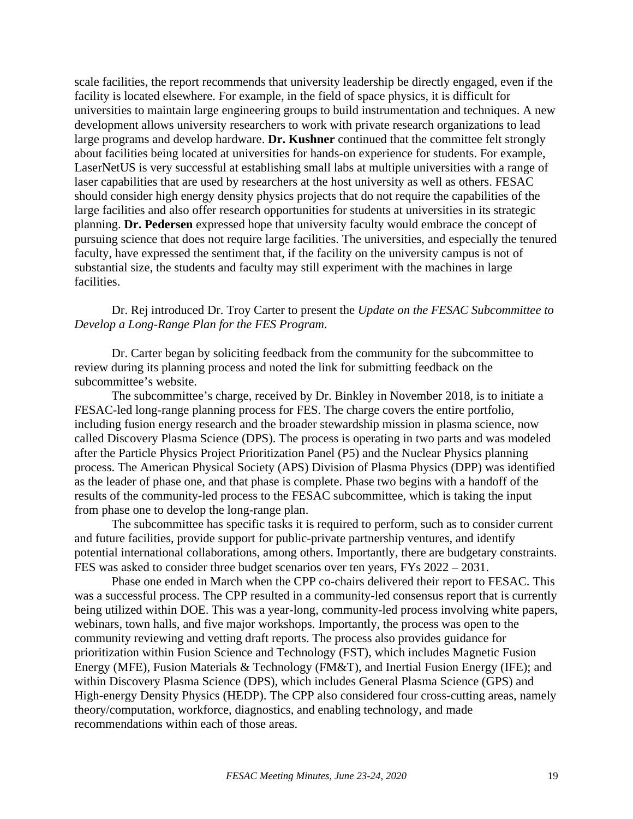scale facilities, the report recommends that university leadership be directly engaged, even if the facility is located elsewhere. For example, in the field of space physics, it is difficult for universities to maintain large engineering groups to build instrumentation and techniques. A new development allows university researchers to work with private research organizations to lead large programs and develop hardware. **Dr. Kushner** continued that the committee felt strongly about facilities being located at universities for hands-on experience for students. For example, LaserNetUS is very successful at establishing small labs at multiple universities with a range of laser capabilities that are used by researchers at the host university as well as others. FESAC should consider high energy density physics projects that do not require the capabilities of the large facilities and also offer research opportunities for students at universities in its strategic planning. **Dr. Pedersen** expressed hope that university faculty would embrace the concept of pursuing science that does not require large facilities. The universities, and especially the tenured faculty, have expressed the sentiment that, if the facility on the university campus is not of substantial size, the students and faculty may still experiment with the machines in large facilities.

Dr. Rej introduced Dr. Troy Carter to present the *Update on the FESAC Subcommittee to Develop a Long-Range Plan for the FES Program*.

Dr. Carter began by soliciting feedback from the community for the subcommittee to review during its planning process and noted the link for submitting feedback on the subcommittee's website.

The subcommittee's charge, received by Dr. Binkley in November 2018, is to initiate a FESAC-led long-range planning process for FES. The charge covers the entire portfolio, including fusion energy research and the broader stewardship mission in plasma science, now called Discovery Plasma Science (DPS). The process is operating in two parts and was modeled after the Particle Physics Project Prioritization Panel (P5) and the Nuclear Physics planning process. The American Physical Society (APS) Division of Plasma Physics (DPP) was identified as the leader of phase one, and that phase is complete. Phase two begins with a handoff of the results of the community-led process to the FESAC subcommittee, which is taking the input from phase one to develop the long-range plan.

The subcommittee has specific tasks it is required to perform, such as to consider current and future facilities, provide support for public-private partnership ventures, and identify potential international collaborations, among others. Importantly, there are budgetary constraints. FES was asked to consider three budget scenarios over ten years, FYs 2022 – 2031.

Phase one ended in March when the CPP co-chairs delivered their report to FESAC. This was a successful process. The CPP resulted in a community-led consensus report that is currently being utilized within DOE. This was a year-long, community-led process involving white papers, webinars, town halls, and five major workshops. Importantly, the process was open to the community reviewing and vetting draft reports. The process also provides guidance for prioritization within Fusion Science and Technology (FST), which includes Magnetic Fusion Energy (MFE), Fusion Materials & Technology (FM&T), and Inertial Fusion Energy (IFE); and within Discovery Plasma Science (DPS), which includes General Plasma Science (GPS) and High-energy Density Physics (HEDP). The CPP also considered four cross-cutting areas, namely theory/computation, workforce, diagnostics, and enabling technology, and made recommendations within each of those areas.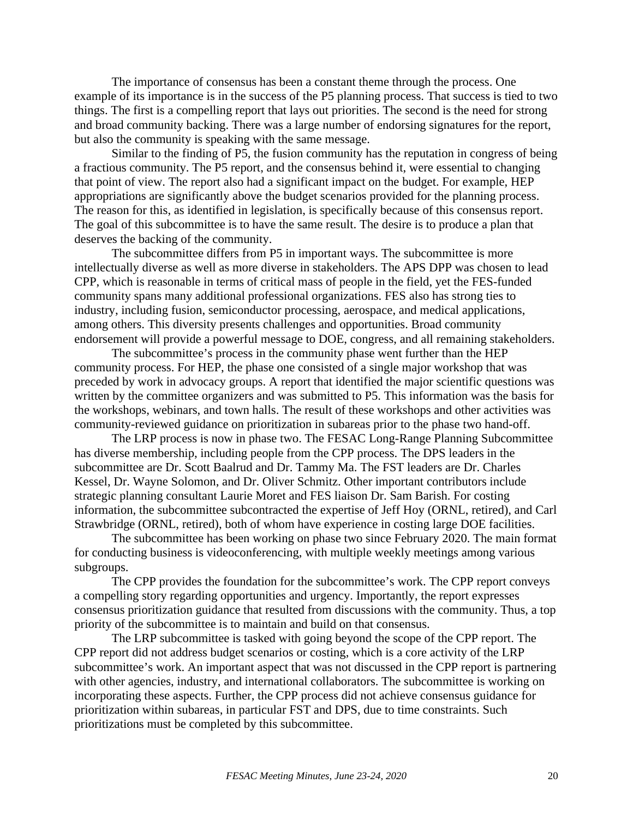The importance of consensus has been a constant theme through the process. One example of its importance is in the success of the P5 planning process. That success is tied to two things. The first is a compelling report that lays out priorities. The second is the need for strong and broad community backing. There was a large number of endorsing signatures for the report, but also the community is speaking with the same message.

Similar to the finding of P5, the fusion community has the reputation in congress of being a fractious community. The P5 report, and the consensus behind it, were essential to changing that point of view. The report also had a significant impact on the budget. For example, HEP appropriations are significantly above the budget scenarios provided for the planning process. The reason for this, as identified in legislation, is specifically because of this consensus report. The goal of this subcommittee is to have the same result. The desire is to produce a plan that deserves the backing of the community.

The subcommittee differs from P5 in important ways. The subcommittee is more intellectually diverse as well as more diverse in stakeholders. The APS DPP was chosen to lead CPP, which is reasonable in terms of critical mass of people in the field, yet the FES-funded community spans many additional professional organizations. FES also has strong ties to industry, including fusion, semiconductor processing, aerospace, and medical applications, among others. This diversity presents challenges and opportunities. Broad community endorsement will provide a powerful message to DOE, congress, and all remaining stakeholders.

The subcommittee's process in the community phase went further than the HEP community process. For HEP, the phase one consisted of a single major workshop that was preceded by work in advocacy groups. A report that identified the major scientific questions was written by the committee organizers and was submitted to P5. This information was the basis for the workshops, webinars, and town halls. The result of these workshops and other activities was community-reviewed guidance on prioritization in subareas prior to the phase two hand-off.

The LRP process is now in phase two. The FESAC Long-Range Planning Subcommittee has diverse membership, including people from the CPP process. The DPS leaders in the subcommittee are Dr. Scott Baalrud and Dr. Tammy Ma. The FST leaders are Dr. Charles Kessel, Dr. Wayne Solomon, and Dr. Oliver Schmitz. Other important contributors include strategic planning consultant Laurie Moret and FES liaison Dr. Sam Barish. For costing information, the subcommittee subcontracted the expertise of Jeff Hoy (ORNL, retired), and Carl Strawbridge (ORNL, retired), both of whom have experience in costing large DOE facilities.

The subcommittee has been working on phase two since February 2020. The main format for conducting business is videoconferencing, with multiple weekly meetings among various subgroups.

The CPP provides the foundation for the subcommittee's work. The CPP report conveys a compelling story regarding opportunities and urgency. Importantly, the report expresses consensus prioritization guidance that resulted from discussions with the community. Thus, a top priority of the subcommittee is to maintain and build on that consensus.

The LRP subcommittee is tasked with going beyond the scope of the CPP report. The CPP report did not address budget scenarios or costing, which is a core activity of the LRP subcommittee's work. An important aspect that was not discussed in the CPP report is partnering with other agencies, industry, and international collaborators. The subcommittee is working on incorporating these aspects. Further, the CPP process did not achieve consensus guidance for prioritization within subareas, in particular FST and DPS, due to time constraints. Such prioritizations must be completed by this subcommittee.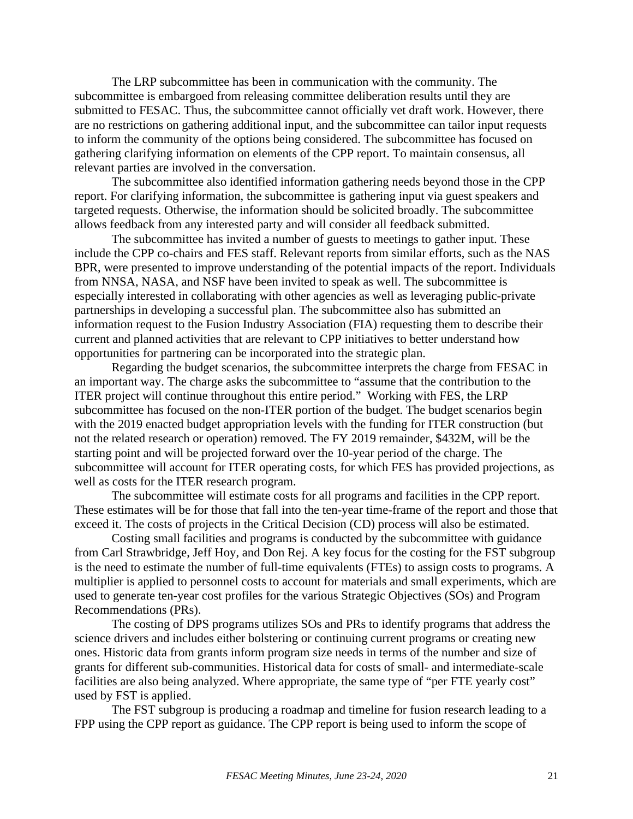The LRP subcommittee has been in communication with the community. The subcommittee is embargoed from releasing committee deliberation results until they are submitted to FESAC. Thus, the subcommittee cannot officially vet draft work. However, there are no restrictions on gathering additional input, and the subcommittee can tailor input requests to inform the community of the options being considered. The subcommittee has focused on gathering clarifying information on elements of the CPP report. To maintain consensus, all relevant parties are involved in the conversation.

The subcommittee also identified information gathering needs beyond those in the CPP report. For clarifying information, the subcommittee is gathering input via guest speakers and targeted requests. Otherwise, the information should be solicited broadly. The subcommittee allows feedback from any interested party and will consider all feedback submitted.

The subcommittee has invited a number of guests to meetings to gather input. These include the CPP co-chairs and FES staff. Relevant reports from similar efforts, such as the NAS BPR, were presented to improve understanding of the potential impacts of the report. Individuals from NNSA, NASA, and NSF have been invited to speak as well. The subcommittee is especially interested in collaborating with other agencies as well as leveraging public-private partnerships in developing a successful plan. The subcommittee also has submitted an information request to the Fusion Industry Association (FIA) requesting them to describe their current and planned activities that are relevant to CPP initiatives to better understand how opportunities for partnering can be incorporated into the strategic plan.

Regarding the budget scenarios, the subcommittee interprets the charge from FESAC in an important way. The charge asks the subcommittee to "assume that the contribution to the ITER project will continue throughout this entire period." Working with FES, the LRP subcommittee has focused on the non-ITER portion of the budget. The budget scenarios begin with the 2019 enacted budget appropriation levels with the funding for ITER construction (but not the related research or operation) removed. The FY 2019 remainder, \$432M, will be the starting point and will be projected forward over the 10-year period of the charge. The subcommittee will account for ITER operating costs, for which FES has provided projections, as well as costs for the ITER research program.

The subcommittee will estimate costs for all programs and facilities in the CPP report. These estimates will be for those that fall into the ten-year time-frame of the report and those that exceed it. The costs of projects in the Critical Decision (CD) process will also be estimated.

Costing small facilities and programs is conducted by the subcommittee with guidance from Carl Strawbridge, Jeff Hoy, and Don Rej. A key focus for the costing for the FST subgroup is the need to estimate the number of full-time equivalents (FTEs) to assign costs to programs. A multiplier is applied to personnel costs to account for materials and small experiments, which are used to generate ten-year cost profiles for the various Strategic Objectives (SOs) and Program Recommendations (PRs).

The costing of DPS programs utilizes SOs and PRs to identify programs that address the science drivers and includes either bolstering or continuing current programs or creating new ones. Historic data from grants inform program size needs in terms of the number and size of grants for different sub-communities. Historical data for costs of small- and intermediate-scale facilities are also being analyzed. Where appropriate, the same type of "per FTE yearly cost" used by FST is applied.

The FST subgroup is producing a roadmap and timeline for fusion research leading to a FPP using the CPP report as guidance. The CPP report is being used to inform the scope of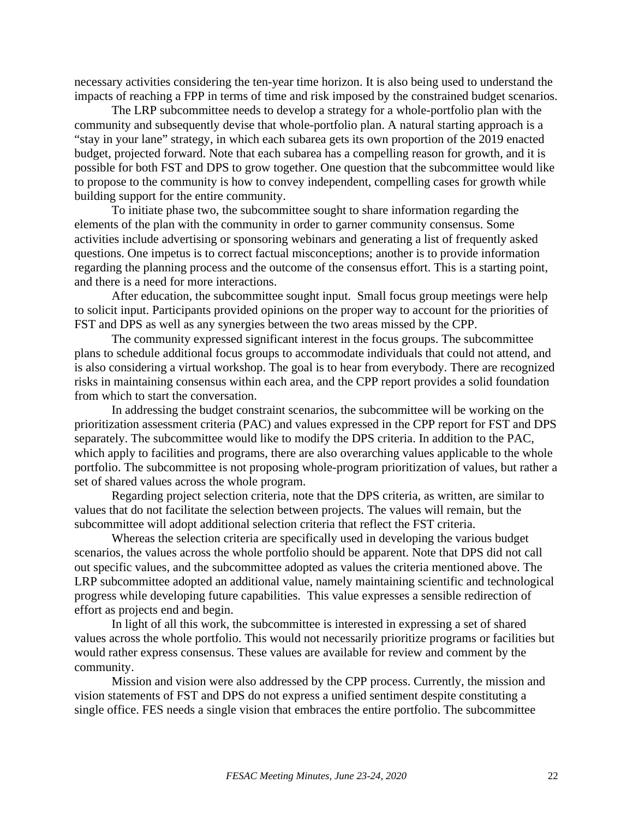necessary activities considering the ten-year time horizon. It is also being used to understand the impacts of reaching a FPP in terms of time and risk imposed by the constrained budget scenarios.

The LRP subcommittee needs to develop a strategy for a whole-portfolio plan with the community and subsequently devise that whole-portfolio plan. A natural starting approach is a "stay in your lane" strategy, in which each subarea gets its own proportion of the 2019 enacted budget, projected forward. Note that each subarea has a compelling reason for growth, and it is possible for both FST and DPS to grow together. One question that the subcommittee would like to propose to the community is how to convey independent, compelling cases for growth while building support for the entire community.

To initiate phase two, the subcommittee sought to share information regarding the elements of the plan with the community in order to garner community consensus. Some activities include advertising or sponsoring webinars and generating a list of frequently asked questions. One impetus is to correct factual misconceptions; another is to provide information regarding the planning process and the outcome of the consensus effort. This is a starting point, and there is a need for more interactions.

After education, the subcommittee sought input. Small focus group meetings were help to solicit input. Participants provided opinions on the proper way to account for the priorities of FST and DPS as well as any synergies between the two areas missed by the CPP.

The community expressed significant interest in the focus groups. The subcommittee plans to schedule additional focus groups to accommodate individuals that could not attend, and is also considering a virtual workshop. The goal is to hear from everybody. There are recognized risks in maintaining consensus within each area, and the CPP report provides a solid foundation from which to start the conversation.

In addressing the budget constraint scenarios, the subcommittee will be working on the prioritization assessment criteria (PAC) and values expressed in the CPP report for FST and DPS separately. The subcommittee would like to modify the DPS criteria. In addition to the PAC, which apply to facilities and programs, there are also overarching values applicable to the whole portfolio. The subcommittee is not proposing whole-program prioritization of values, but rather a set of shared values across the whole program.

Regarding project selection criteria, note that the DPS criteria, as written, are similar to values that do not facilitate the selection between projects. The values will remain, but the subcommittee will adopt additional selection criteria that reflect the FST criteria.

Whereas the selection criteria are specifically used in developing the various budget scenarios, the values across the whole portfolio should be apparent. Note that DPS did not call out specific values, and the subcommittee adopted as values the criteria mentioned above. The LRP subcommittee adopted an additional value, namely maintaining scientific and technological progress while developing future capabilities. This value expresses a sensible redirection of effort as projects end and begin.

In light of all this work, the subcommittee is interested in expressing a set of shared values across the whole portfolio. This would not necessarily prioritize programs or facilities but would rather express consensus. These values are available for review and comment by the community.

Mission and vision were also addressed by the CPP process. Currently, the mission and vision statements of FST and DPS do not express a unified sentiment despite constituting a single office. FES needs a single vision that embraces the entire portfolio. The subcommittee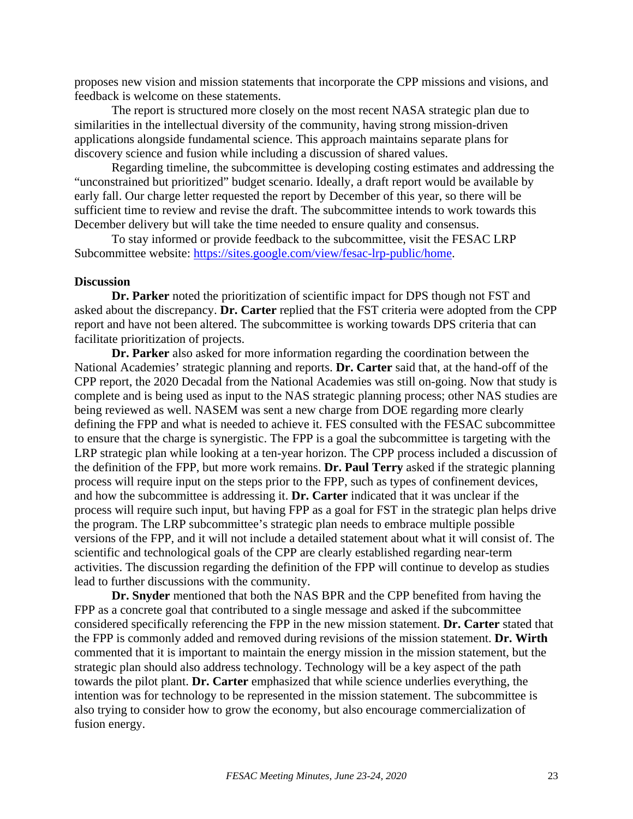proposes new vision and mission statements that incorporate the CPP missions and visions, and feedback is welcome on these statements.

The report is structured more closely on the most recent NASA strategic plan due to similarities in the intellectual diversity of the community, having strong mission-driven applications alongside fundamental science. This approach maintains separate plans for discovery science and fusion while including a discussion of shared values.

Regarding timeline, the subcommittee is developing costing estimates and addressing the "unconstrained but prioritized" budget scenario. Ideally, a draft report would be available by early fall. Our charge letter requested the report by December of this year, so there will be sufficient time to review and revise the draft. The subcommittee intends to work towards this December delivery but will take the time needed to ensure quality and consensus.

To stay informed or provide feedback to the subcommittee, visit the FESAC LRP Subcommittee website: [https://sites.google.com/view/fesac-lrp-public/home.](https://sites.google.com/view/fesac-lrp-public/home)

#### **Discussion**

**Dr. Parker** noted the prioritization of scientific impact for DPS though not FST and asked about the discrepancy. **Dr. Carter** replied that the FST criteria were adopted from the CPP report and have not been altered. The subcommittee is working towards DPS criteria that can facilitate prioritization of projects.

**Dr. Parker** also asked for more information regarding the coordination between the National Academies' strategic planning and reports. **Dr. Carter** said that, at the hand-off of the CPP report, the 2020 Decadal from the National Academies was still on-going. Now that study is complete and is being used as input to the NAS strategic planning process; other NAS studies are being reviewed as well. NASEM was sent a new charge from DOE regarding more clearly defining the FPP and what is needed to achieve it. FES consulted with the FESAC subcommittee to ensure that the charge is synergistic. The FPP is a goal the subcommittee is targeting with the LRP strategic plan while looking at a ten-year horizon. The CPP process included a discussion of the definition of the FPP, but more work remains. **Dr. Paul Terry** asked if the strategic planning process will require input on the steps prior to the FPP, such as types of confinement devices, and how the subcommittee is addressing it. **Dr. Carter** indicated that it was unclear if the process will require such input, but having FPP as a goal for FST in the strategic plan helps drive the program. The LRP subcommittee's strategic plan needs to embrace multiple possible versions of the FPP, and it will not include a detailed statement about what it will consist of. The scientific and technological goals of the CPP are clearly established regarding near-term activities. The discussion regarding the definition of the FPP will continue to develop as studies lead to further discussions with the community.

**Dr. Snyder** mentioned that both the NAS BPR and the CPP benefited from having the FPP as a concrete goal that contributed to a single message and asked if the subcommittee considered specifically referencing the FPP in the new mission statement. **Dr. Carter** stated that the FPP is commonly added and removed during revisions of the mission statement. **Dr. Wirth** commented that it is important to maintain the energy mission in the mission statement, but the strategic plan should also address technology. Technology will be a key aspect of the path towards the pilot plant. **Dr. Carter** emphasized that while science underlies everything, the intention was for technology to be represented in the mission statement. The subcommittee is also trying to consider how to grow the economy, but also encourage commercialization of fusion energy.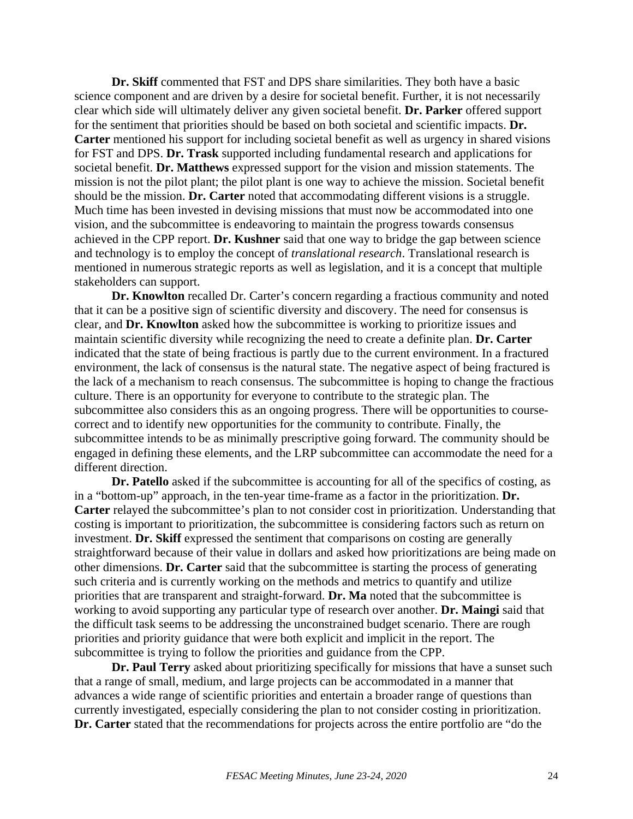**Dr. Skiff** commented that FST and DPS share similarities. They both have a basic science component and are driven by a desire for societal benefit. Further, it is not necessarily clear which side will ultimately deliver any given societal benefit. **Dr. Parker** offered support for the sentiment that priorities should be based on both societal and scientific impacts. **Dr. Carter** mentioned his support for including societal benefit as well as urgency in shared visions for FST and DPS. **Dr. Trask** supported including fundamental research and applications for societal benefit. **Dr. Matthews** expressed support for the vision and mission statements. The mission is not the pilot plant; the pilot plant is one way to achieve the mission. Societal benefit should be the mission. **Dr. Carter** noted that accommodating different visions is a struggle. Much time has been invested in devising missions that must now be accommodated into one vision, and the subcommittee is endeavoring to maintain the progress towards consensus achieved in the CPP report. **Dr. Kushner** said that one way to bridge the gap between science and technology is to employ the concept of *translational research*. Translational research is mentioned in numerous strategic reports as well as legislation, and it is a concept that multiple stakeholders can support.

**Dr. Knowlton** recalled Dr. Carter's concern regarding a fractious community and noted that it can be a positive sign of scientific diversity and discovery. The need for consensus is clear, and **Dr. Knowlton** asked how the subcommittee is working to prioritize issues and maintain scientific diversity while recognizing the need to create a definite plan. **Dr. Carter** indicated that the state of being fractious is partly due to the current environment. In a fractured environment, the lack of consensus is the natural state. The negative aspect of being fractured is the lack of a mechanism to reach consensus. The subcommittee is hoping to change the fractious culture. There is an opportunity for everyone to contribute to the strategic plan. The subcommittee also considers this as an ongoing progress. There will be opportunities to coursecorrect and to identify new opportunities for the community to contribute. Finally, the subcommittee intends to be as minimally prescriptive going forward. The community should be engaged in defining these elements, and the LRP subcommittee can accommodate the need for a different direction.

**Dr. Patello** asked if the subcommittee is accounting for all of the specifics of costing, as in a "bottom-up" approach, in the ten-year time-frame as a factor in the prioritization. **Dr. Carter** relayed the subcommittee's plan to not consider cost in prioritization. Understanding that costing is important to prioritization, the subcommittee is considering factors such as return on investment. **Dr. Skiff** expressed the sentiment that comparisons on costing are generally straightforward because of their value in dollars and asked how prioritizations are being made on other dimensions. **Dr. Carter** said that the subcommittee is starting the process of generating such criteria and is currently working on the methods and metrics to quantify and utilize priorities that are transparent and straight-forward. **Dr. Ma** noted that the subcommittee is working to avoid supporting any particular type of research over another. **Dr. Maingi** said that the difficult task seems to be addressing the unconstrained budget scenario. There are rough priorities and priority guidance that were both explicit and implicit in the report. The subcommittee is trying to follow the priorities and guidance from the CPP.

**Dr. Paul Terry** asked about prioritizing specifically for missions that have a sunset such that a range of small, medium, and large projects can be accommodated in a manner that advances a wide range of scientific priorities and entertain a broader range of questions than currently investigated, especially considering the plan to not consider costing in prioritization. **Dr. Carter** stated that the recommendations for projects across the entire portfolio are "do the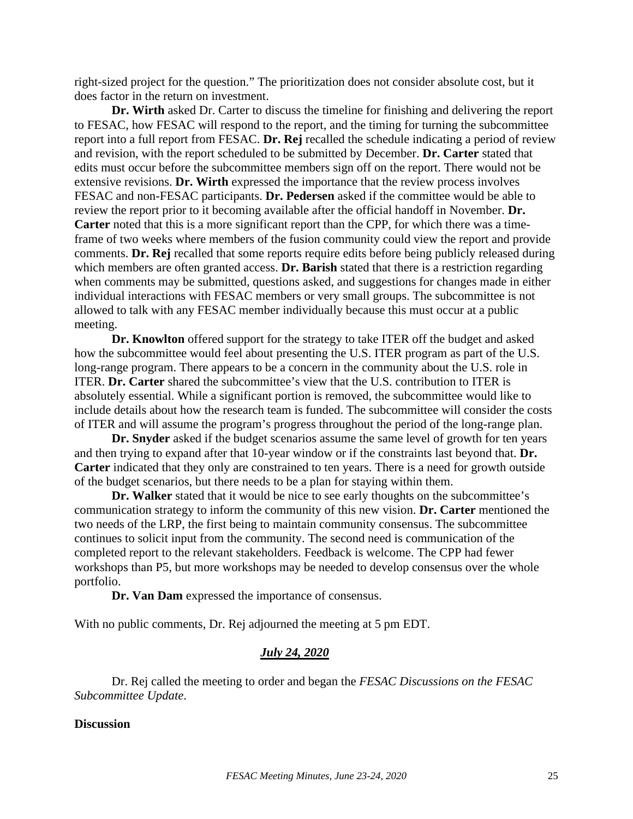right-sized project for the question." The prioritization does not consider absolute cost, but it does factor in the return on investment.

**Dr. Wirth** asked Dr. Carter to discuss the timeline for finishing and delivering the report to FESAC, how FESAC will respond to the report, and the timing for turning the subcommittee report into a full report from FESAC. **Dr. Rej** recalled the schedule indicating a period of review and revision, with the report scheduled to be submitted by December. **Dr. Carter** stated that edits must occur before the subcommittee members sign off on the report. There would not be extensive revisions. **Dr. Wirth** expressed the importance that the review process involves FESAC and non-FESAC participants. **Dr. Pedersen** asked if the committee would be able to review the report prior to it becoming available after the official handoff in November. **Dr. Carter** noted that this is a more significant report than the CPP, for which there was a timeframe of two weeks where members of the fusion community could view the report and provide comments. **Dr. Rej** recalled that some reports require edits before being publicly released during which members are often granted access. **Dr. Barish** stated that there is a restriction regarding when comments may be submitted, questions asked, and suggestions for changes made in either individual interactions with FESAC members or very small groups. The subcommittee is not allowed to talk with any FESAC member individually because this must occur at a public meeting.

**Dr. Knowlton** offered support for the strategy to take ITER off the budget and asked how the subcommittee would feel about presenting the U.S. ITER program as part of the U.S. long-range program. There appears to be a concern in the community about the U.S. role in ITER. **Dr. Carter** shared the subcommittee's view that the U.S. contribution to ITER is absolutely essential. While a significant portion is removed, the subcommittee would like to include details about how the research team is funded. The subcommittee will consider the costs of ITER and will assume the program's progress throughout the period of the long-range plan.

**Dr. Snyder** asked if the budget scenarios assume the same level of growth for ten years and then trying to expand after that 10-year window or if the constraints last beyond that. **Dr. Carter** indicated that they only are constrained to ten years. There is a need for growth outside of the budget scenarios, but there needs to be a plan for staying within them.

**Dr. Walker** stated that it would be nice to see early thoughts on the subcommittee's communication strategy to inform the community of this new vision. **Dr. Carter** mentioned the two needs of the LRP, the first being to maintain community consensus. The subcommittee continues to solicit input from the community. The second need is communication of the completed report to the relevant stakeholders. Feedback is welcome. The CPP had fewer workshops than P5, but more workshops may be needed to develop consensus over the whole portfolio.

**Dr. Van Dam** expressed the importance of consensus.

With no public comments, Dr. Rej adjourned the meeting at 5 pm EDT.

#### *July 24, 2020*

Dr. Rej called the meeting to order and began the *FESAC Discussions on the FESAC Subcommittee Update*.

## **Discussion**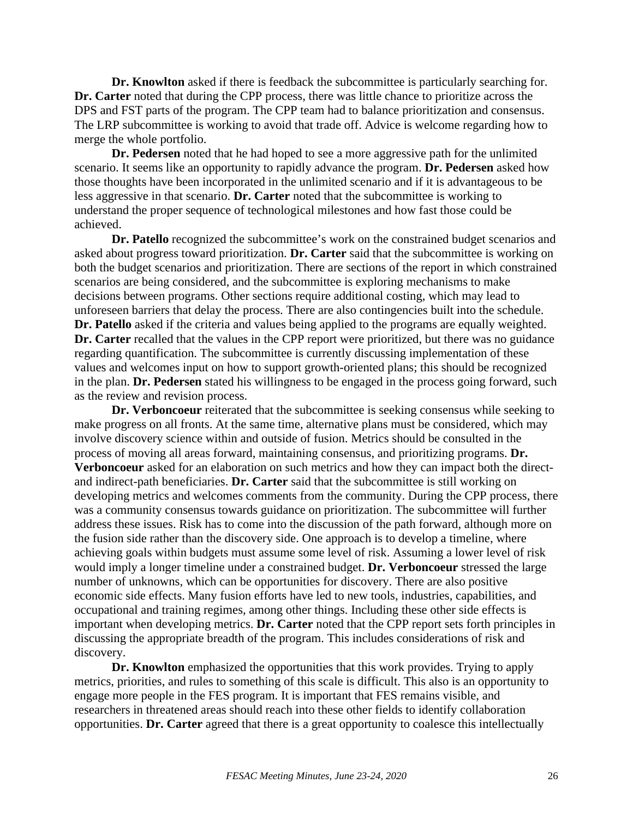**Dr. Knowlton** asked if there is feedback the subcommittee is particularly searching for. **Dr. Carter** noted that during the CPP process, there was little chance to prioritize across the DPS and FST parts of the program. The CPP team had to balance prioritization and consensus. The LRP subcommittee is working to avoid that trade off. Advice is welcome regarding how to merge the whole portfolio.

**Dr. Pedersen** noted that he had hoped to see a more aggressive path for the unlimited scenario. It seems like an opportunity to rapidly advance the program. **Dr. Pedersen** asked how those thoughts have been incorporated in the unlimited scenario and if it is advantageous to be less aggressive in that scenario. **Dr. Carter** noted that the subcommittee is working to understand the proper sequence of technological milestones and how fast those could be achieved.

**Dr. Patello** recognized the subcommittee's work on the constrained budget scenarios and asked about progress toward prioritization. **Dr. Carter** said that the subcommittee is working on both the budget scenarios and prioritization. There are sections of the report in which constrained scenarios are being considered, and the subcommittee is exploring mechanisms to make decisions between programs. Other sections require additional costing, which may lead to unforeseen barriers that delay the process. There are also contingencies built into the schedule. **Dr. Patello** asked if the criteria and values being applied to the programs are equally weighted. **Dr. Carter** recalled that the values in the CPP report were prioritized, but there was no guidance regarding quantification. The subcommittee is currently discussing implementation of these values and welcomes input on how to support growth-oriented plans; this should be recognized in the plan. **Dr. Pedersen** stated his willingness to be engaged in the process going forward, such as the review and revision process.

**Dr. Verboncoeur** reiterated that the subcommittee is seeking consensus while seeking to make progress on all fronts. At the same time, alternative plans must be considered, which may involve discovery science within and outside of fusion. Metrics should be consulted in the process of moving all areas forward, maintaining consensus, and prioritizing programs. **Dr. Verboncoeur** asked for an elaboration on such metrics and how they can impact both the directand indirect-path beneficiaries. **Dr. Carter** said that the subcommittee is still working on developing metrics and welcomes comments from the community. During the CPP process, there was a community consensus towards guidance on prioritization. The subcommittee will further address these issues. Risk has to come into the discussion of the path forward, although more on the fusion side rather than the discovery side. One approach is to develop a timeline, where achieving goals within budgets must assume some level of risk. Assuming a lower level of risk would imply a longer timeline under a constrained budget. **Dr. Verboncoeur** stressed the large number of unknowns, which can be opportunities for discovery. There are also positive economic side effects. Many fusion efforts have led to new tools, industries, capabilities, and occupational and training regimes, among other things. Including these other side effects is important when developing metrics. **Dr. Carter** noted that the CPP report sets forth principles in discussing the appropriate breadth of the program. This includes considerations of risk and discovery.

**Dr. Knowlton** emphasized the opportunities that this work provides. Trying to apply metrics, priorities, and rules to something of this scale is difficult. This also is an opportunity to engage more people in the FES program. It is important that FES remains visible, and researchers in threatened areas should reach into these other fields to identify collaboration opportunities. **Dr. Carter** agreed that there is a great opportunity to coalesce this intellectually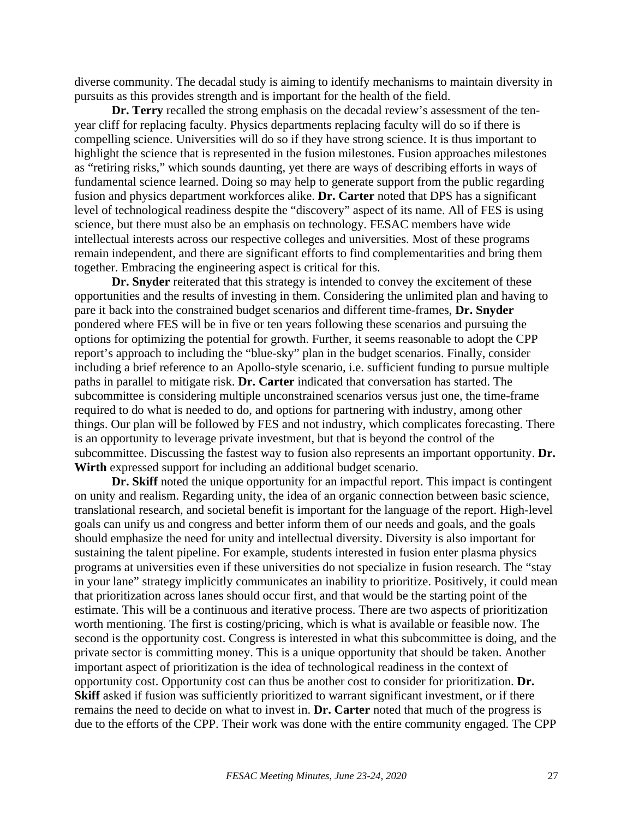diverse community. The decadal study is aiming to identify mechanisms to maintain diversity in pursuits as this provides strength and is important for the health of the field.

**Dr. Terry** recalled the strong emphasis on the decadal review's assessment of the tenyear cliff for replacing faculty. Physics departments replacing faculty will do so if there is compelling science. Universities will do so if they have strong science. It is thus important to highlight the science that is represented in the fusion milestones. Fusion approaches milestones as "retiring risks," which sounds daunting, yet there are ways of describing efforts in ways of fundamental science learned. Doing so may help to generate support from the public regarding fusion and physics department workforces alike. **Dr. Carter** noted that DPS has a significant level of technological readiness despite the "discovery" aspect of its name. All of FES is using science, but there must also be an emphasis on technology. FESAC members have wide intellectual interests across our respective colleges and universities. Most of these programs remain independent, and there are significant efforts to find complementarities and bring them together. Embracing the engineering aspect is critical for this.

**Dr. Snyder** reiterated that this strategy is intended to convey the excitement of these opportunities and the results of investing in them. Considering the unlimited plan and having to pare it back into the constrained budget scenarios and different time-frames, **Dr. Snyder** pondered where FES will be in five or ten years following these scenarios and pursuing the options for optimizing the potential for growth. Further, it seems reasonable to adopt the CPP report's approach to including the "blue-sky" plan in the budget scenarios. Finally, consider including a brief reference to an Apollo-style scenario, i.e. sufficient funding to pursue multiple paths in parallel to mitigate risk. **Dr. Carter** indicated that conversation has started. The subcommittee is considering multiple unconstrained scenarios versus just one, the time-frame required to do what is needed to do, and options for partnering with industry, among other things. Our plan will be followed by FES and not industry, which complicates forecasting. There is an opportunity to leverage private investment, but that is beyond the control of the subcommittee. Discussing the fastest way to fusion also represents an important opportunity. **Dr. Wirth** expressed support for including an additional budget scenario.

**Dr. Skiff** noted the unique opportunity for an impactful report. This impact is contingent on unity and realism. Regarding unity, the idea of an organic connection between basic science, translational research, and societal benefit is important for the language of the report. High-level goals can unify us and congress and better inform them of our needs and goals, and the goals should emphasize the need for unity and intellectual diversity. Diversity is also important for sustaining the talent pipeline. For example, students interested in fusion enter plasma physics programs at universities even if these universities do not specialize in fusion research. The "stay in your lane" strategy implicitly communicates an inability to prioritize. Positively, it could mean that prioritization across lanes should occur first, and that would be the starting point of the estimate. This will be a continuous and iterative process. There are two aspects of prioritization worth mentioning. The first is costing/pricing, which is what is available or feasible now. The second is the opportunity cost. Congress is interested in what this subcommittee is doing, and the private sector is committing money. This is a unique opportunity that should be taken. Another important aspect of prioritization is the idea of technological readiness in the context of opportunity cost. Opportunity cost can thus be another cost to consider for prioritization. **Dr. Skiff** asked if fusion was sufficiently prioritized to warrant significant investment, or if there remains the need to decide on what to invest in. **Dr. Carter** noted that much of the progress is due to the efforts of the CPP. Their work was done with the entire community engaged. The CPP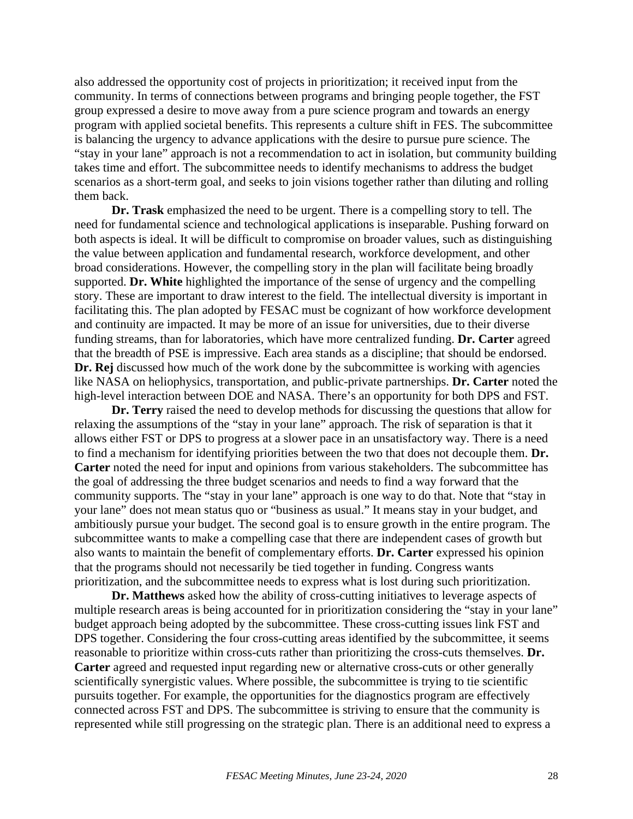also addressed the opportunity cost of projects in prioritization; it received input from the community. In terms of connections between programs and bringing people together, the FST group expressed a desire to move away from a pure science program and towards an energy program with applied societal benefits. This represents a culture shift in FES. The subcommittee is balancing the urgency to advance applications with the desire to pursue pure science. The "stay in your lane" approach is not a recommendation to act in isolation, but community building takes time and effort. The subcommittee needs to identify mechanisms to address the budget scenarios as a short-term goal, and seeks to join visions together rather than diluting and rolling them back.

**Dr. Trask** emphasized the need to be urgent. There is a compelling story to tell. The need for fundamental science and technological applications is inseparable. Pushing forward on both aspects is ideal. It will be difficult to compromise on broader values, such as distinguishing the value between application and fundamental research, workforce development, and other broad considerations. However, the compelling story in the plan will facilitate being broadly supported. **Dr. White** highlighted the importance of the sense of urgency and the compelling story. These are important to draw interest to the field. The intellectual diversity is important in facilitating this. The plan adopted by FESAC must be cognizant of how workforce development and continuity are impacted. It may be more of an issue for universities, due to their diverse funding streams, than for laboratories, which have more centralized funding. **Dr. Carter** agreed that the breadth of PSE is impressive. Each area stands as a discipline; that should be endorsed. **Dr. Rej** discussed how much of the work done by the subcommittee is working with agencies like NASA on heliophysics, transportation, and public-private partnerships. **Dr. Carter** noted the high-level interaction between DOE and NASA. There's an opportunity for both DPS and FST.

**Dr. Terry** raised the need to develop methods for discussing the questions that allow for relaxing the assumptions of the "stay in your lane" approach. The risk of separation is that it allows either FST or DPS to progress at a slower pace in an unsatisfactory way. There is a need to find a mechanism for identifying priorities between the two that does not decouple them. **Dr. Carter** noted the need for input and opinions from various stakeholders. The subcommittee has the goal of addressing the three budget scenarios and needs to find a way forward that the community supports. The "stay in your lane" approach is one way to do that. Note that "stay in your lane" does not mean status quo or "business as usual." It means stay in your budget, and ambitiously pursue your budget. The second goal is to ensure growth in the entire program. The subcommittee wants to make a compelling case that there are independent cases of growth but also wants to maintain the benefit of complementary efforts. **Dr. Carter** expressed his opinion that the programs should not necessarily be tied together in funding. Congress wants prioritization, and the subcommittee needs to express what is lost during such prioritization.

**Dr. Matthews** asked how the ability of cross-cutting initiatives to leverage aspects of multiple research areas is being accounted for in prioritization considering the "stay in your lane" budget approach being adopted by the subcommittee. These cross-cutting issues link FST and DPS together. Considering the four cross-cutting areas identified by the subcommittee, it seems reasonable to prioritize within cross-cuts rather than prioritizing the cross-cuts themselves. **Dr. Carter** agreed and requested input regarding new or alternative cross-cuts or other generally scientifically synergistic values. Where possible, the subcommittee is trying to tie scientific pursuits together. For example, the opportunities for the diagnostics program are effectively connected across FST and DPS. The subcommittee is striving to ensure that the community is represented while still progressing on the strategic plan. There is an additional need to express a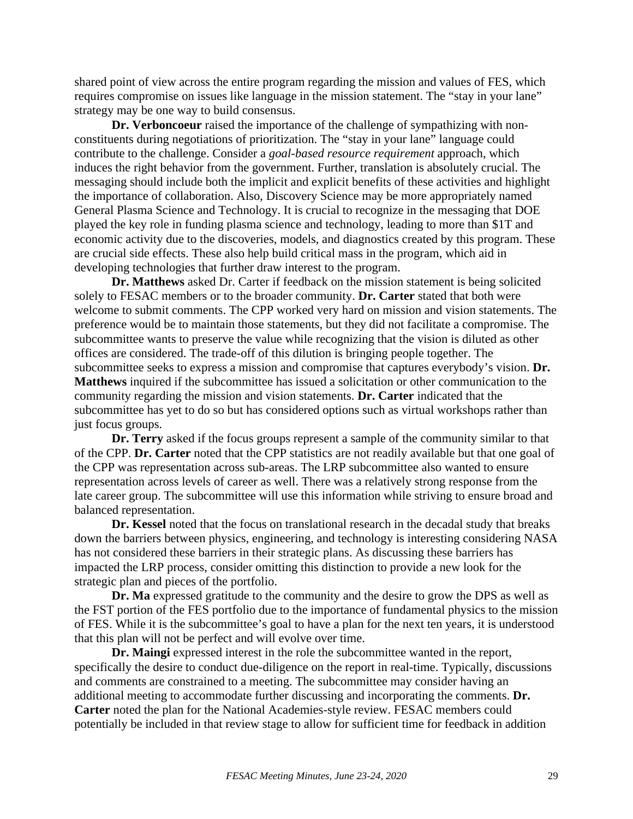shared point of view across the entire program regarding the mission and values of FES, which requires compromise on issues like language in the mission statement. The "stay in your lane" strategy may be one way to build consensus.

**Dr. Verboncoeur** raised the importance of the challenge of sympathizing with nonconstituents during negotiations of prioritization. The "stay in your lane" language could contribute to the challenge. Consider a *goal-based resource requirement* approach, which induces the right behavior from the government. Further, translation is absolutely crucial. The messaging should include both the implicit and explicit benefits of these activities and highlight the importance of collaboration. Also, Discovery Science may be more appropriately named General Plasma Science and Technology. It is crucial to recognize in the messaging that DOE played the key role in funding plasma science and technology, leading to more than \$1T and economic activity due to the discoveries, models, and diagnostics created by this program. These are crucial side effects. These also help build critical mass in the program, which aid in developing technologies that further draw interest to the program.

**Dr. Matthews** asked Dr. Carter if feedback on the mission statement is being solicited solely to FESAC members or to the broader community. **Dr. Carter** stated that both were welcome to submit comments. The CPP worked very hard on mission and vision statements. The preference would be to maintain those statements, but they did not facilitate a compromise. The subcommittee wants to preserve the value while recognizing that the vision is diluted as other offices are considered. The trade-off of this dilution is bringing people together. The subcommittee seeks to express a mission and compromise that captures everybody's vision. **Dr. Matthews** inquired if the subcommittee has issued a solicitation or other communication to the community regarding the mission and vision statements. **Dr. Carter** indicated that the subcommittee has yet to do so but has considered options such as virtual workshops rather than just focus groups.

**Dr. Terry** asked if the focus groups represent a sample of the community similar to that of the CPP. **Dr. Carter** noted that the CPP statistics are not readily available but that one goal of the CPP was representation across sub-areas. The LRP subcommittee also wanted to ensure representation across levels of career as well. There was a relatively strong response from the late career group. The subcommittee will use this information while striving to ensure broad and balanced representation.

**Dr. Kessel** noted that the focus on translational research in the decadal study that breaks down the barriers between physics, engineering, and technology is interesting considering NASA has not considered these barriers in their strategic plans. As discussing these barriers has impacted the LRP process, consider omitting this distinction to provide a new look for the strategic plan and pieces of the portfolio.

**Dr. Ma** expressed gratitude to the community and the desire to grow the DPS as well as the FST portion of the FES portfolio due to the importance of fundamental physics to the mission of FES. While it is the subcommittee's goal to have a plan for the next ten years, it is understood that this plan will not be perfect and will evolve over time.

**Dr. Maingi** expressed interest in the role the subcommittee wanted in the report, specifically the desire to conduct due-diligence on the report in real-time. Typically, discussions and comments are constrained to a meeting. The subcommittee may consider having an additional meeting to accommodate further discussing and incorporating the comments. **Dr. Carter** noted the plan for the National Academies-style review. FESAC members could potentially be included in that review stage to allow for sufficient time for feedback in addition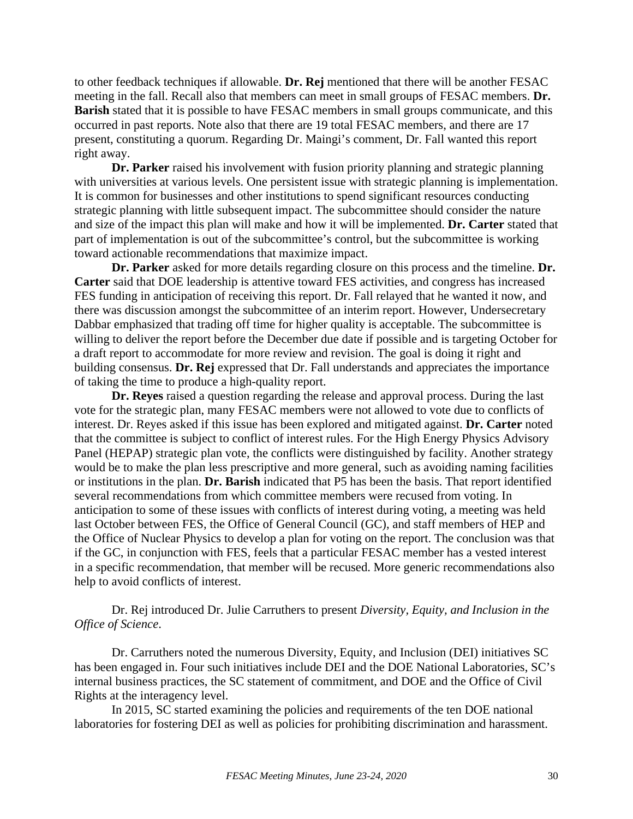to other feedback techniques if allowable. **Dr. Rej** mentioned that there will be another FESAC meeting in the fall. Recall also that members can meet in small groups of FESAC members. **Dr. Barish** stated that it is possible to have FESAC members in small groups communicate, and this occurred in past reports. Note also that there are 19 total FESAC members, and there are 17 present, constituting a quorum. Regarding Dr. Maingi's comment, Dr. Fall wanted this report right away.

**Dr. Parker** raised his involvement with fusion priority planning and strategic planning with universities at various levels. One persistent issue with strategic planning is implementation. It is common for businesses and other institutions to spend significant resources conducting strategic planning with little subsequent impact. The subcommittee should consider the nature and size of the impact this plan will make and how it will be implemented. **Dr. Carter** stated that part of implementation is out of the subcommittee's control, but the subcommittee is working toward actionable recommendations that maximize impact.

**Dr. Parker** asked for more details regarding closure on this process and the timeline. **Dr. Carter** said that DOE leadership is attentive toward FES activities, and congress has increased FES funding in anticipation of receiving this report. Dr. Fall relayed that he wanted it now, and there was discussion amongst the subcommittee of an interim report. However, Undersecretary Dabbar emphasized that trading off time for higher quality is acceptable. The subcommittee is willing to deliver the report before the December due date if possible and is targeting October for a draft report to accommodate for more review and revision. The goal is doing it right and building consensus. **Dr. Rej** expressed that Dr. Fall understands and appreciates the importance of taking the time to produce a high-quality report.

**Dr. Reyes** raised a question regarding the release and approval process. During the last vote for the strategic plan, many FESAC members were not allowed to vote due to conflicts of interest. Dr. Reyes asked if this issue has been explored and mitigated against. **Dr. Carter** noted that the committee is subject to conflict of interest rules. For the High Energy Physics Advisory Panel (HEPAP) strategic plan vote, the conflicts were distinguished by facility. Another strategy would be to make the plan less prescriptive and more general, such as avoiding naming facilities or institutions in the plan. **Dr. Barish** indicated that P5 has been the basis. That report identified several recommendations from which committee members were recused from voting. In anticipation to some of these issues with conflicts of interest during voting, a meeting was held last October between FES, the Office of General Council (GC), and staff members of HEP and the Office of Nuclear Physics to develop a plan for voting on the report. The conclusion was that if the GC, in conjunction with FES, feels that a particular FESAC member has a vested interest in a specific recommendation, that member will be recused. More generic recommendations also help to avoid conflicts of interest.

# Dr. Rej introduced Dr. Julie Carruthers to present *Diversity, Equity, and Inclusion in the Office of Science*.

Dr. Carruthers noted the numerous Diversity, Equity, and Inclusion (DEI) initiatives SC has been engaged in. Four such initiatives include DEI and the DOE National Laboratories, SC's internal business practices, the SC statement of commitment, and DOE and the Office of Civil Rights at the interagency level.

In 2015, SC started examining the policies and requirements of the ten DOE national laboratories for fostering DEI as well as policies for prohibiting discrimination and harassment.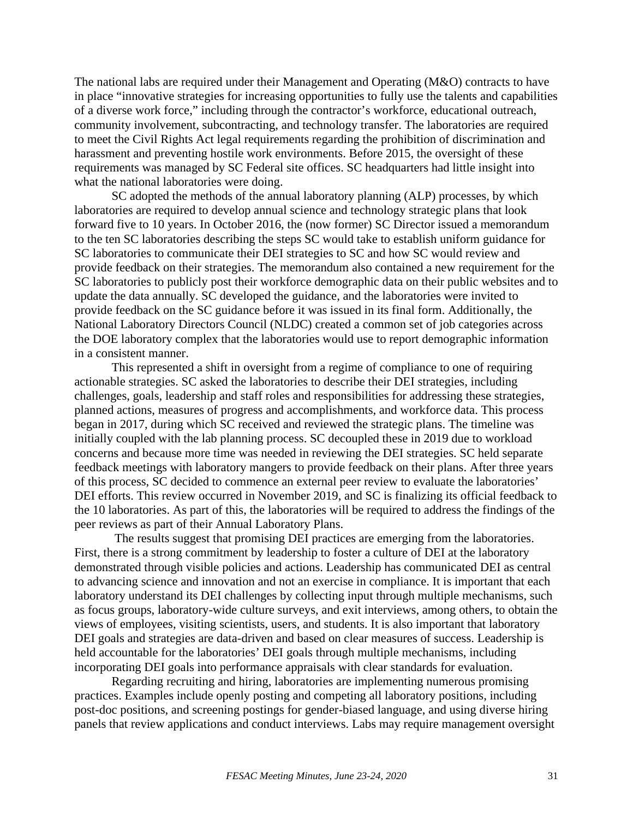The national labs are required under their Management and Operating (M&O) contracts to have in place "innovative strategies for increasing opportunities to fully use the talents and capabilities of a diverse work force," including through the contractor's workforce, educational outreach, community involvement, subcontracting, and technology transfer. The laboratories are required to meet the Civil Rights Act legal requirements regarding the prohibition of discrimination and harassment and preventing hostile work environments. Before 2015, the oversight of these requirements was managed by SC Federal site offices. SC headquarters had little insight into what the national laboratories were doing.

SC adopted the methods of the annual laboratory planning (ALP) processes, by which laboratories are required to develop annual science and technology strategic plans that look forward five to 10 years. In October 2016, the (now former) SC Director issued a memorandum to the ten SC laboratories describing the steps SC would take to establish uniform guidance for SC laboratories to communicate their DEI strategies to SC and how SC would review and provide feedback on their strategies. The memorandum also contained a new requirement for the SC laboratories to publicly post their workforce demographic data on their public websites and to update the data annually. SC developed the guidance, and the laboratories were invited to provide feedback on the SC guidance before it was issued in its final form. Additionally, the National Laboratory Directors Council (NLDC) created a common set of job categories across the DOE laboratory complex that the laboratories would use to report demographic information in a consistent manner.

This represented a shift in oversight from a regime of compliance to one of requiring actionable strategies. SC asked the laboratories to describe their DEI strategies, including challenges, goals, leadership and staff roles and responsibilities for addressing these strategies, planned actions, measures of progress and accomplishments, and workforce data. This process began in 2017, during which SC received and reviewed the strategic plans. The timeline was initially coupled with the lab planning process. SC decoupled these in 2019 due to workload concerns and because more time was needed in reviewing the DEI strategies. SC held separate feedback meetings with laboratory mangers to provide feedback on their plans. After three years of this process, SC decided to commence an external peer review to evaluate the laboratories' DEI efforts. This review occurred in November 2019, and SC is finalizing its official feedback to the 10 laboratories. As part of this, the laboratories will be required to address the findings of the peer reviews as part of their Annual Laboratory Plans.

The results suggest that promising DEI practices are emerging from the laboratories. First, there is a strong commitment by leadership to foster a culture of DEI at the laboratory demonstrated through visible policies and actions. Leadership has communicated DEI as central to advancing science and innovation and not an exercise in compliance. It is important that each laboratory understand its DEI challenges by collecting input through multiple mechanisms, such as focus groups, laboratory-wide culture surveys, and exit interviews, among others, to obtain the views of employees, visiting scientists, users, and students. It is also important that laboratory DEI goals and strategies are data-driven and based on clear measures of success. Leadership is held accountable for the laboratories' DEI goals through multiple mechanisms, including incorporating DEI goals into performance appraisals with clear standards for evaluation.

Regarding recruiting and hiring, laboratories are implementing numerous promising practices. Examples include openly posting and competing all laboratory positions, including post-doc positions, and screening postings for gender-biased language, and using diverse hiring panels that review applications and conduct interviews. Labs may require management oversight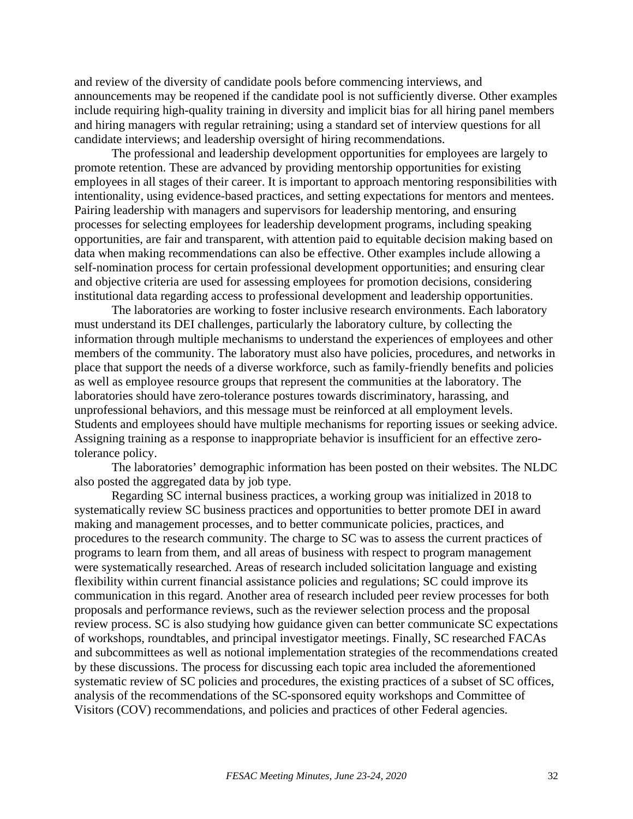and review of the diversity of candidate pools before commencing interviews, and announcements may be reopened if the candidate pool is not sufficiently diverse. Other examples include requiring high-quality training in diversity and implicit bias for all hiring panel members and hiring managers with regular retraining; using a standard set of interview questions for all candidate interviews; and leadership oversight of hiring recommendations.

The professional and leadership development opportunities for employees are largely to promote retention. These are advanced by providing mentorship opportunities for existing employees in all stages of their career. It is important to approach mentoring responsibilities with intentionality, using evidence-based practices, and setting expectations for mentors and mentees. Pairing leadership with managers and supervisors for leadership mentoring, and ensuring processes for selecting employees for leadership development programs, including speaking opportunities, are fair and transparent, with attention paid to equitable decision making based on data when making recommendations can also be effective. Other examples include allowing a self-nomination process for certain professional development opportunities; and ensuring clear and objective criteria are used for assessing employees for promotion decisions, considering institutional data regarding access to professional development and leadership opportunities.

The laboratories are working to foster inclusive research environments. Each laboratory must understand its DEI challenges, particularly the laboratory culture, by collecting the information through multiple mechanisms to understand the experiences of employees and other members of the community. The laboratory must also have policies, procedures, and networks in place that support the needs of a diverse workforce, such as family-friendly benefits and policies as well as employee resource groups that represent the communities at the laboratory. The laboratories should have zero-tolerance postures towards discriminatory, harassing, and unprofessional behaviors, and this message must be reinforced at all employment levels. Students and employees should have multiple mechanisms for reporting issues or seeking advice. Assigning training as a response to inappropriate behavior is insufficient for an effective zerotolerance policy.

The laboratories' demographic information has been posted on their websites. The NLDC also posted the aggregated data by job type.

Regarding SC internal business practices, a working group was initialized in 2018 to systematically review SC business practices and opportunities to better promote DEI in award making and management processes, and to better communicate policies, practices, and procedures to the research community. The charge to SC was to assess the current practices of programs to learn from them, and all areas of business with respect to program management were systematically researched. Areas of research included solicitation language and existing flexibility within current financial assistance policies and regulations; SC could improve its communication in this regard. Another area of research included peer review processes for both proposals and performance reviews, such as the reviewer selection process and the proposal review process. SC is also studying how guidance given can better communicate SC expectations of workshops, roundtables, and principal investigator meetings. Finally, SC researched FACAs and subcommittees as well as notional implementation strategies of the recommendations created by these discussions. The process for discussing each topic area included the aforementioned systematic review of SC policies and procedures, the existing practices of a subset of SC offices, analysis of the recommendations of the SC-sponsored equity workshops and Committee of Visitors (COV) recommendations, and policies and practices of other Federal agencies.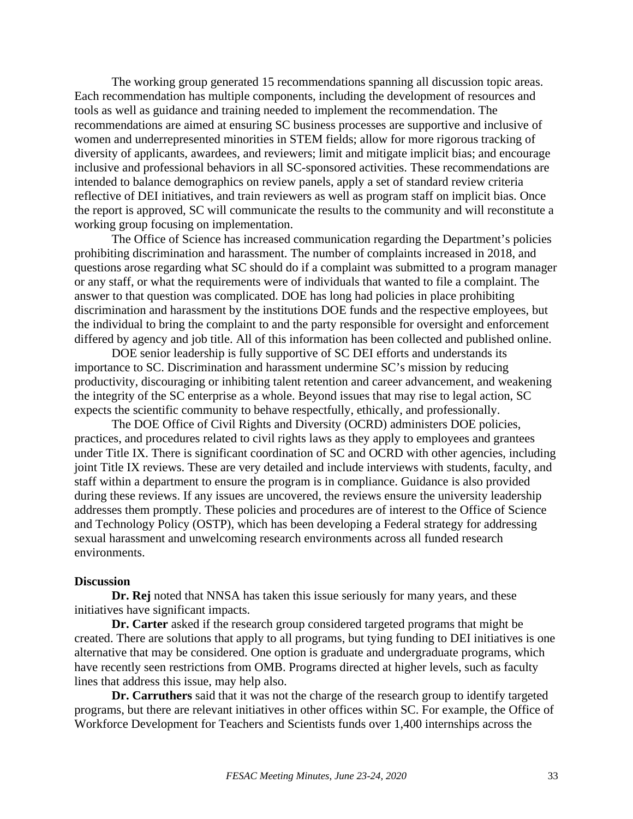The working group generated 15 recommendations spanning all discussion topic areas. Each recommendation has multiple components, including the development of resources and tools as well as guidance and training needed to implement the recommendation. The recommendations are aimed at ensuring SC business processes are supportive and inclusive of women and underrepresented minorities in STEM fields; allow for more rigorous tracking of diversity of applicants, awardees, and reviewers; limit and mitigate implicit bias; and encourage inclusive and professional behaviors in all SC-sponsored activities. These recommendations are intended to balance demographics on review panels, apply a set of standard review criteria reflective of DEI initiatives, and train reviewers as well as program staff on implicit bias. Once the report is approved, SC will communicate the results to the community and will reconstitute a working group focusing on implementation.

The Office of Science has increased communication regarding the Department's policies prohibiting discrimination and harassment. The number of complaints increased in 2018, and questions arose regarding what SC should do if a complaint was submitted to a program manager or any staff, or what the requirements were of individuals that wanted to file a complaint. The answer to that question was complicated. DOE has long had policies in place prohibiting discrimination and harassment by the institutions DOE funds and the respective employees, but the individual to bring the complaint to and the party responsible for oversight and enforcement differed by agency and job title. All of this information has been collected and published online.

DOE senior leadership is fully supportive of SC DEI efforts and understands its importance to SC. Discrimination and harassment undermine SC's mission by reducing productivity, discouraging or inhibiting talent retention and career advancement, and weakening the integrity of the SC enterprise as a whole. Beyond issues that may rise to legal action, SC expects the scientific community to behave respectfully, ethically, and professionally.

The DOE Office of Civil Rights and Diversity (OCRD) administers DOE policies, practices, and procedures related to civil rights laws as they apply to employees and grantees under Title IX. There is significant coordination of SC and OCRD with other agencies, including joint Title IX reviews. These are very detailed and include interviews with students, faculty, and staff within a department to ensure the program is in compliance. Guidance is also provided during these reviews. If any issues are uncovered, the reviews ensure the university leadership addresses them promptly. These policies and procedures are of interest to the Office of Science and Technology Policy (OSTP), which has been developing a Federal strategy for addressing sexual harassment and unwelcoming research environments across all funded research environments.

#### **Discussion**

**Dr. Rej** noted that NNSA has taken this issue seriously for many years, and these initiatives have significant impacts.

**Dr. Carter** asked if the research group considered targeted programs that might be created. There are solutions that apply to all programs, but tying funding to DEI initiatives is one alternative that may be considered. One option is graduate and undergraduate programs, which have recently seen restrictions from OMB. Programs directed at higher levels, such as faculty lines that address this issue, may help also.

**Dr. Carruthers** said that it was not the charge of the research group to identify targeted programs, but there are relevant initiatives in other offices within SC. For example, the Office of Workforce Development for Teachers and Scientists funds over 1,400 internships across the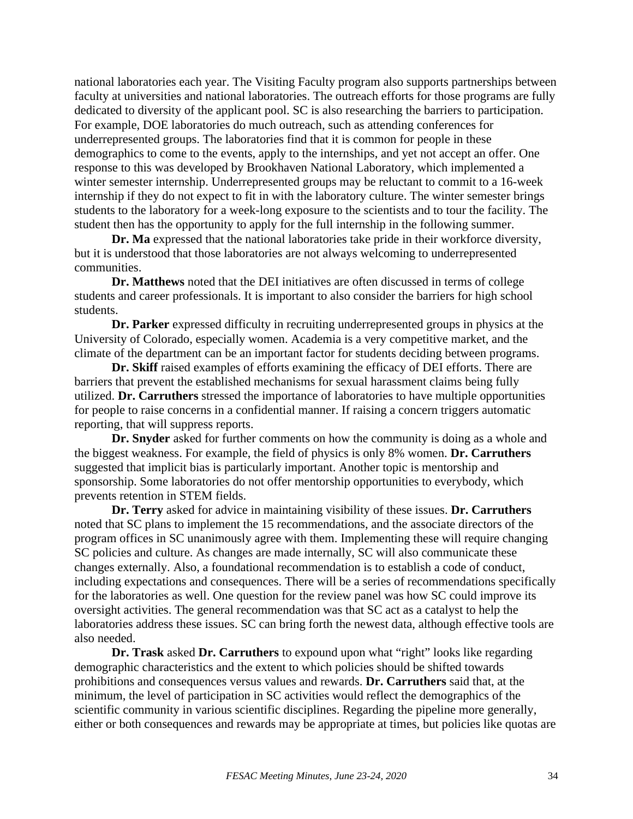national laboratories each year. The Visiting Faculty program also supports partnerships between faculty at universities and national laboratories. The outreach efforts for those programs are fully dedicated to diversity of the applicant pool. SC is also researching the barriers to participation. For example, DOE laboratories do much outreach, such as attending conferences for underrepresented groups. The laboratories find that it is common for people in these demographics to come to the events, apply to the internships, and yet not accept an offer. One response to this was developed by Brookhaven National Laboratory, which implemented a winter semester internship. Underrepresented groups may be reluctant to commit to a 16-week internship if they do not expect to fit in with the laboratory culture. The winter semester brings students to the laboratory for a week-long exposure to the scientists and to tour the facility. The student then has the opportunity to apply for the full internship in the following summer.

**Dr. Ma** expressed that the national laboratories take pride in their workforce diversity, but it is understood that those laboratories are not always welcoming to underrepresented communities.

**Dr. Matthews** noted that the DEI initiatives are often discussed in terms of college students and career professionals. It is important to also consider the barriers for high school students.

**Dr. Parker** expressed difficulty in recruiting underrepresented groups in physics at the University of Colorado, especially women. Academia is a very competitive market, and the climate of the department can be an important factor for students deciding between programs.

**Dr. Skiff** raised examples of efforts examining the efficacy of DEI efforts. There are barriers that prevent the established mechanisms for sexual harassment claims being fully utilized. **Dr. Carruthers** stressed the importance of laboratories to have multiple opportunities for people to raise concerns in a confidential manner. If raising a concern triggers automatic reporting, that will suppress reports.

**Dr. Snyder** asked for further comments on how the community is doing as a whole and the biggest weakness. For example, the field of physics is only 8% women. **Dr. Carruthers** suggested that implicit bias is particularly important. Another topic is mentorship and sponsorship. Some laboratories do not offer mentorship opportunities to everybody, which prevents retention in STEM fields.

**Dr. Terry** asked for advice in maintaining visibility of these issues. **Dr. Carruthers** noted that SC plans to implement the 15 recommendations, and the associate directors of the program offices in SC unanimously agree with them. Implementing these will require changing SC policies and culture. As changes are made internally, SC will also communicate these changes externally. Also, a foundational recommendation is to establish a code of conduct, including expectations and consequences. There will be a series of recommendations specifically for the laboratories as well. One question for the review panel was how SC could improve its oversight activities. The general recommendation was that SC act as a catalyst to help the laboratories address these issues. SC can bring forth the newest data, although effective tools are also needed.

**Dr. Trask** asked **Dr. Carruthers** to expound upon what "right" looks like regarding demographic characteristics and the extent to which policies should be shifted towards prohibitions and consequences versus values and rewards. **Dr. Carruthers** said that, at the minimum, the level of participation in SC activities would reflect the demographics of the scientific community in various scientific disciplines. Regarding the pipeline more generally, either or both consequences and rewards may be appropriate at times, but policies like quotas are